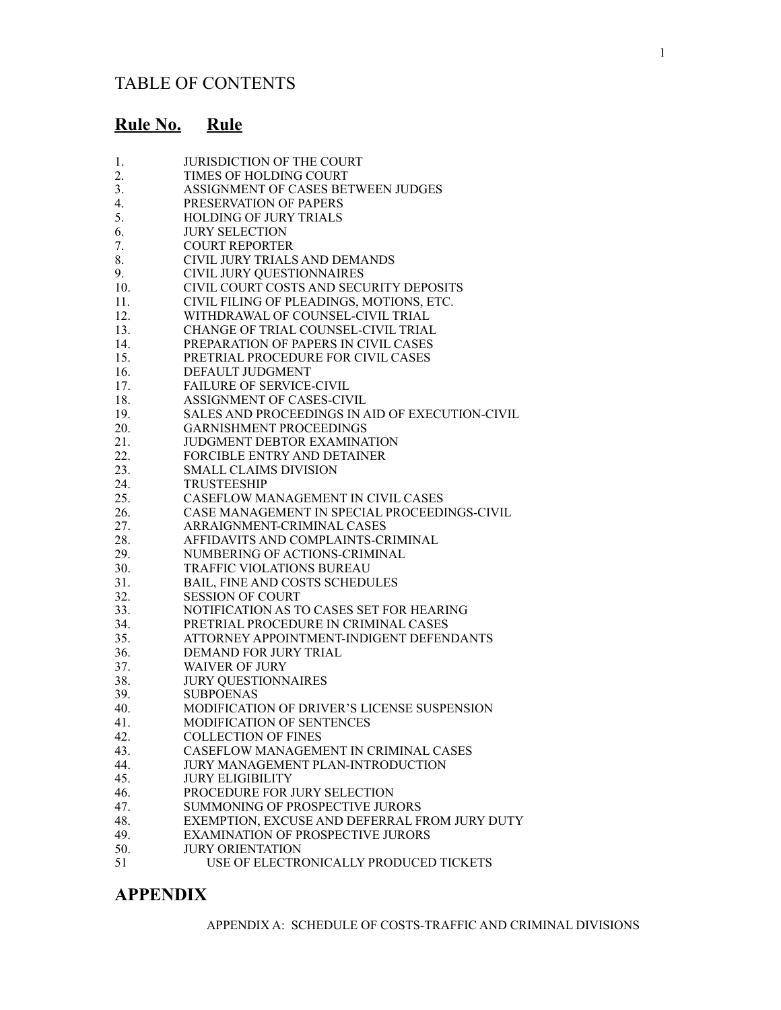# **Rule No. Rule**

| 1.  | <b>JURISDICTION OF THE COURT</b>                |
|-----|-------------------------------------------------|
| 2.  | TIMES OF HOLDING COURT                          |
| 3.  | ASSIGNMENT OF CASES BETWEEN JUDGES              |
| 4.  | PRESERVATION OF PAPERS                          |
| 5.  | <b>HOLDING OF JURY TRIALS</b>                   |
| 6.  | <b>JURY SELECTION</b>                           |
| 7.  | <b>COURT REPORTER</b>                           |
| 8.  | CIVIL JURY TRIALS AND DEMANDS                   |
| 9.  | <b>CIVIL JURY QUESTIONNAIRES</b>                |
| 10. | CIVIL COURT COSTS AND SECURITY DEPOSITS         |
| 11. | CIVIL FILING OF PLEADINGS, MOTIONS, ETC.        |
| 12. | WITHDRAWAL OF COUNSEL-CIVIL TRIAL               |
| 13. | CHANGE OF TRIAL COUNSEL-CIVIL TRIAL             |
| 14. | PREPARATION OF PAPERS IN CIVIL CASES            |
| 15. | PRETRIAL PROCEDURE FOR CIVIL CASES              |
| 16. | DEFAULT JUDGMENT                                |
| 17. | <b>FAILURE OF SERVICE-CIVIL</b>                 |
| 18. | ASSIGNMENT OF CASES-CIVIL                       |
| 19. | SALES AND PROCEEDINGS IN AID OF EXECUTION-CIVIL |
| 20. | <b>GARNISHMENT PROCEEDINGS</b>                  |
| 21. | <b>JUDGMENT DEBTOR EXAMINATION</b>              |
| 22. | FORCIBLE ENTRY AND DETAINER                     |
| 23. | <b>SMALL CLAIMS DIVISION</b>                    |
| 24. | <b>TRUSTEESHIP</b>                              |
| 25. | CASEFLOW MANAGEMENT IN CIVIL CASES              |
| 26. | CASE MANAGEMENT IN SPECIAL PROCEEDINGS-CIVIL    |
| 27. | ARRAIGNMENT-CRIMINAL CASES                      |
| 28. | AFFIDAVITS AND COMPLAINTS-CRIMINAL              |
| 29. | NUMBERING OF ACTIONS-CRIMINAL                   |
| 30. | <b>TRAFFIC VIOLATIONS BUREAU</b>                |
| 31. | <b>BAIL, FINE AND COSTS SCHEDULES</b>           |
| 32. | <b>SESSION OF COURT</b>                         |
| 33. | NOTIFICATION AS TO CASES SET FOR HEARING        |
| 34. | PRETRIAL PROCEDURE IN CRIMINAL CASES            |
| 35. | ATTORNEY APPOINTMENT-INDIGENT DEFENDANTS        |
| 36. | DEMAND FOR JURY TRIAL                           |
| 37. | <b>WAIVER OF JURY</b>                           |
| 38. | <b>JURY QUESTIONNAIRES</b>                      |
| 39. | <b>SUBPOENAS</b>                                |
| 40. | MODIFICATION OF DRIVER'S LICENSE SUSPENSION     |
| 41. | MODIFICATION OF SENTENCES                       |
| 42. | <b>COLLECTION OF FINES</b>                      |
| 43. | CASEFLOW MANAGEMENT IN CRIMINAL CASES           |
| 44. | JURY MANAGEMENT PLAN-INTRODUCTION               |
| 45. | <b>JURY ELIGIBILITY</b>                         |
| 46. | PROCEDURE FOR JURY SELECTION                    |
| 47. | SUMMONING OF PROSPECTIVE JURORS                 |
| 48. | EXEMPTION, EXCUSE AND DEFERRAL FROM JURY DUTY   |
| 49. | EXAMINATION OF PROSPECTIVE JURORS               |
| 50. | <b>JURY ORIENTATION</b>                         |
| 51  | USE OF ELECTRONICALLY PRODUCED TICKETS          |

# **APPENDIX**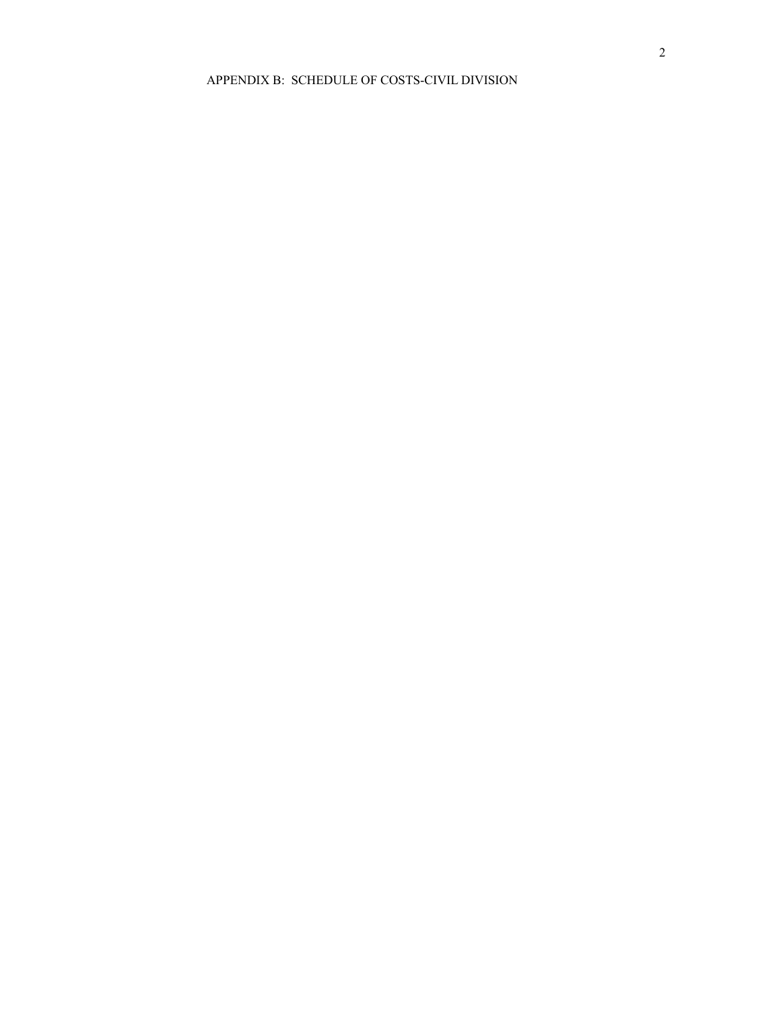#### APPENDIX B: SCHEDULE OF COSTS-CIVIL DIVISION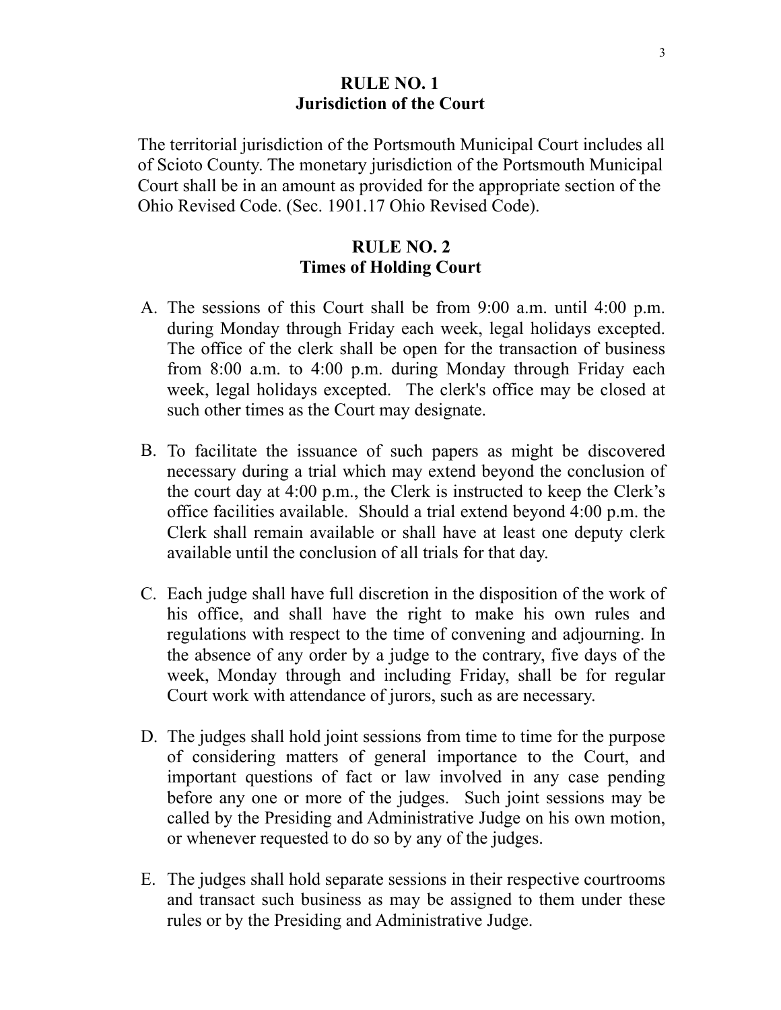### **RULE NO. 1 Jurisdiction of the Court**

The territorial jurisdiction of the Portsmouth Municipal Court includes all of Scioto County. The monetary jurisdiction of the Portsmouth Municipal Court shall be in an amount as provided for the appropriate section of the Ohio Revised Code. (Sec. 1901.17 Ohio Revised Code).

## **RULE NO. 2 Times of Holding Court**

- A. The sessions of this Court shall be from 9:00 a.m. until 4:00 p.m. during Monday through Friday each week, legal holidays excepted. The office of the clerk shall be open for the transaction of business from 8:00 a.m. to 4:00 p.m. during Monday through Friday each week, legal holidays excepted. The clerk's office may be closed at such other times as the Court may designate.
- B. To facilitate the issuance of such papers as might be discovered necessary during a trial which may extend beyond the conclusion of the court day at 4:00 p.m., the Clerk is instructed to keep the Clerk's office facilities available. Should a trial extend beyond 4:00 p.m. the Clerk shall remain available or shall have at least one deputy clerk available until the conclusion of all trials for that day.
- C. Each judge shall have full discretion in the disposition of the work of his office, and shall have the right to make his own rules and regulations with respect to the time of convening and adjourning. In the absence of any order by a judge to the contrary, five days of the week, Monday through and including Friday, shall be for regular Court work with attendance of jurors, such as are necessary.
- D. The judges shall hold joint sessions from time to time for the purpose of considering matters of general importance to the Court, and important questions of fact or law involved in any case pending before any one or more of the judges. Such joint sessions may be called by the Presiding and Administrative Judge on his own motion, or whenever requested to do so by any of the judges.
- E. The judges shall hold separate sessions in their respective courtrooms and transact such business as may be assigned to them under these rules or by the Presiding and Administrative Judge.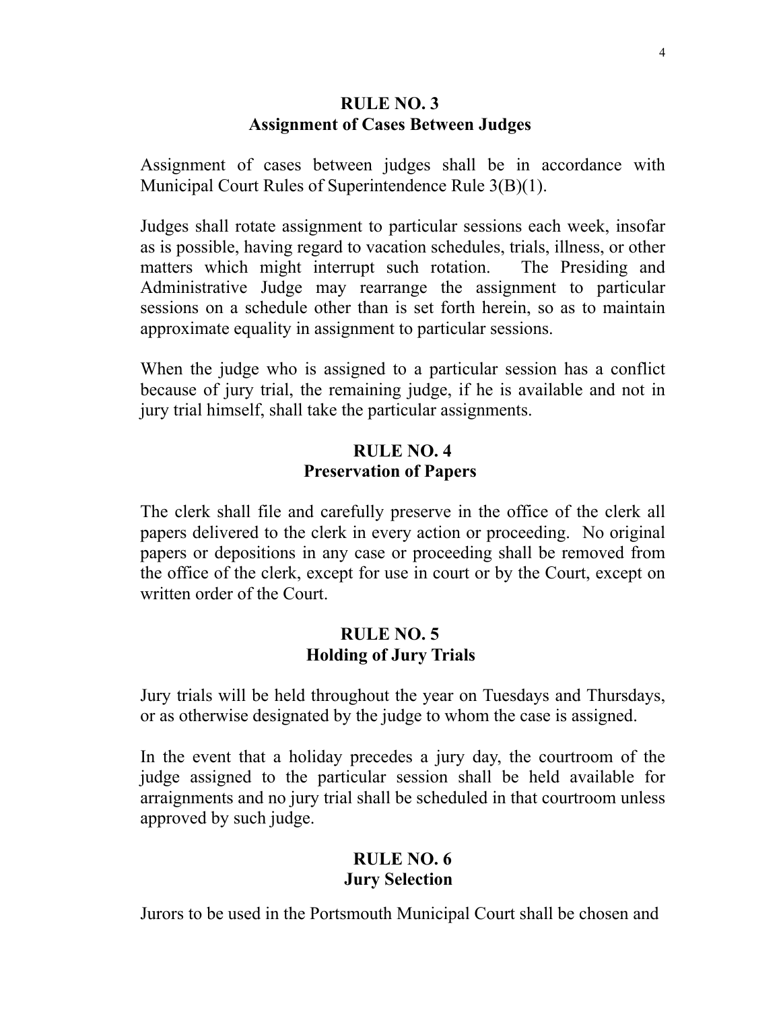### **RULE NO. 3 Assignment of Cases Between Judges**

Assignment of cases between judges shall be in accordance with Municipal Court Rules of Superintendence Rule 3(B)(1).

Judges shall rotate assignment to particular sessions each week, insofar as is possible, having regard to vacation schedules, trials, illness, or other matters which might interrupt such rotation. The Presiding and Administrative Judge may rearrange the assignment to particular sessions on a schedule other than is set forth herein, so as to maintain approximate equality in assignment to particular sessions.

When the judge who is assigned to a particular session has a conflict because of jury trial, the remaining judge, if he is available and not in jury trial himself, shall take the particular assignments.

## **RULE NO. 4 Preservation of Papers**

The clerk shall file and carefully preserve in the office of the clerk all papers delivered to the clerk in every action or proceeding. No original papers or depositions in any case or proceeding shall be removed from the office of the clerk, except for use in court or by the Court, except on written order of the Court.

## **RULE NO. 5 Holding of Jury Trials**

Jury trials will be held throughout the year on Tuesdays and Thursdays, or as otherwise designated by the judge to whom the case is assigned.

In the event that a holiday precedes a jury day, the courtroom of the judge assigned to the particular session shall be held available for arraignments and no jury trial shall be scheduled in that courtroom unless approved by such judge.

# **RULE NO. 6 Jury Selection**

Jurors to be used in the Portsmouth Municipal Court shall be chosen and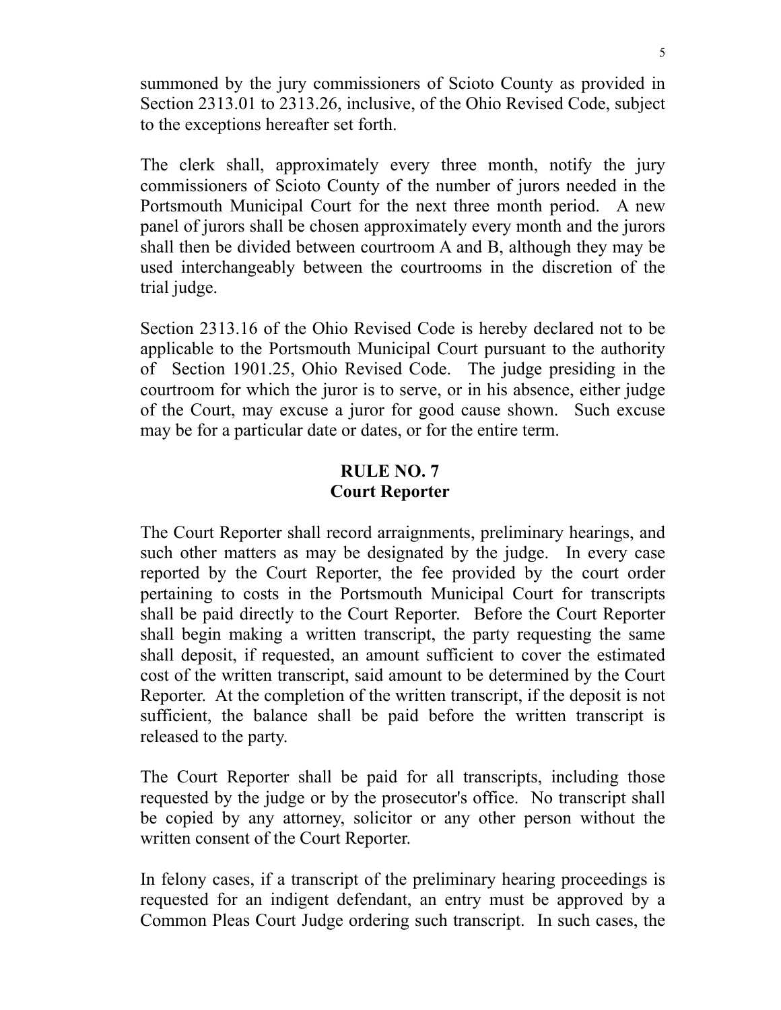summoned by the jury commissioners of Scioto County as provided in Section 2313.01 to 2313.26, inclusive, of the Ohio Revised Code, subject to the exceptions hereafter set forth.

The clerk shall, approximately every three month, notify the jury commissioners of Scioto County of the number of jurors needed in the Portsmouth Municipal Court for the next three month period. A new panel of jurors shall be chosen approximately every month and the jurors shall then be divided between courtroom A and B, although they may be used interchangeably between the courtrooms in the discretion of the trial judge.

Section 2313.16 of the Ohio Revised Code is hereby declared not to be applicable to the Portsmouth Municipal Court pursuant to the authority of Section 1901.25, Ohio Revised Code. The judge presiding in the courtroom for which the juror is to serve, or in his absence, either judge of the Court, may excuse a juror for good cause shown. Such excuse may be for a particular date or dates, or for the entire term.

### **RULE NO. 7 Court Reporter**

The Court Reporter shall record arraignments, preliminary hearings, and such other matters as may be designated by the judge. In every case reported by the Court Reporter, the fee provided by the court order pertaining to costs in the Portsmouth Municipal Court for transcripts shall be paid directly to the Court Reporter. Before the Court Reporter shall begin making a written transcript, the party requesting the same shall deposit, if requested, an amount sufficient to cover the estimated cost of the written transcript, said amount to be determined by the Court Reporter. At the completion of the written transcript, if the deposit is not sufficient, the balance shall be paid before the written transcript is released to the party.

The Court Reporter shall be paid for all transcripts, including those requested by the judge or by the prosecutor's office. No transcript shall be copied by any attorney, solicitor or any other person without the written consent of the Court Reporter.

In felony cases, if a transcript of the preliminary hearing proceedings is requested for an indigent defendant, an entry must be approved by a Common Pleas Court Judge ordering such transcript. In such cases, the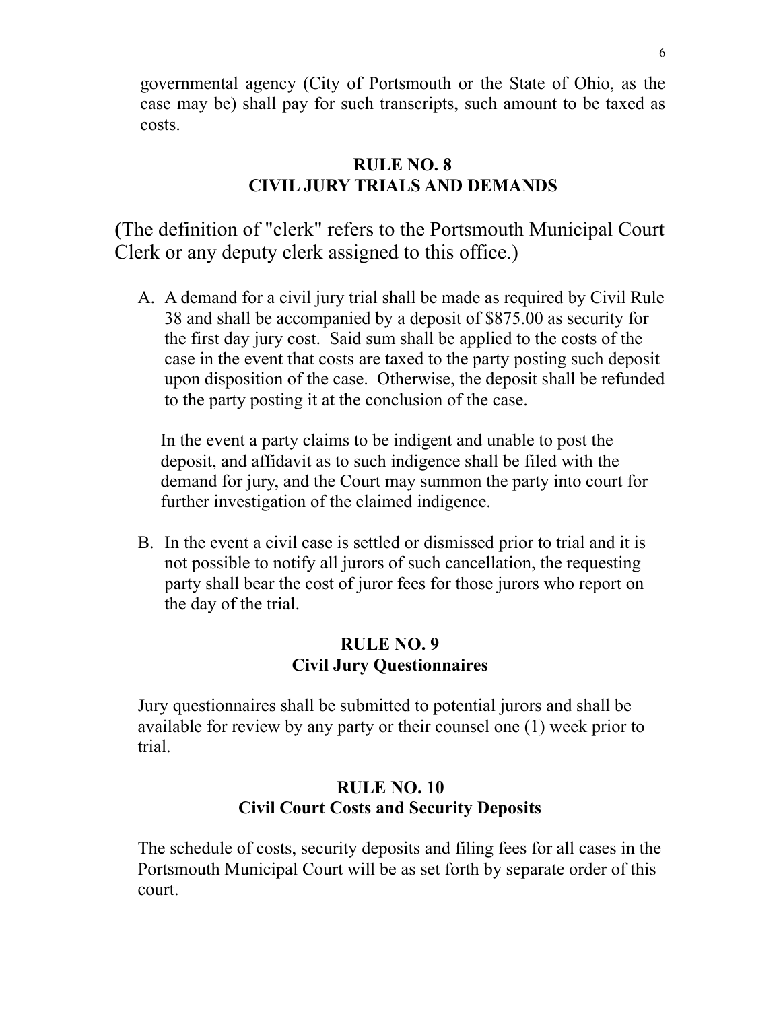governmental agency (City of Portsmouth or the State of Ohio, as the case may be) shall pay for such transcripts, such amount to be taxed as costs.

## **RULE NO. 8 CIVIL JURY TRIALS AND DEMANDS**

**(**The definition of "clerk" refers to the Portsmouth Municipal Court Clerk or any deputy clerk assigned to this office.)

A. A demand for a civil jury trial shall be made as required by Civil Rule 38 and shall be accompanied by a deposit of \$875.00 as security for the first day jury cost. Said sum shall be applied to the costs of the case in the event that costs are taxed to the party posting such deposit upon disposition of the case. Otherwise, the deposit shall be refunded to the party posting it at the conclusion of the case.

In the event a party claims to be indigent and unable to post the deposit, and affidavit as to such indigence shall be filed with the demand for jury, and the Court may summon the party into court for further investigation of the claimed indigence.

B. In the event a civil case is settled or dismissed prior to trial and it is not possible to notify all jurors of such cancellation, the requesting party shall bear the cost of juror fees for those jurors who report on the day of the trial.

## **RULE NO. 9 Civil Jury Questionnaires**

Jury questionnaires shall be submitted to potential jurors and shall be available for review by any party or their counsel one (1) week prior to trial.

# **RULE NO. 10 Civil Court Costs and Security Deposits**

The schedule of costs, security deposits and filing fees for all cases in the Portsmouth Municipal Court will be as set forth by separate order of this court.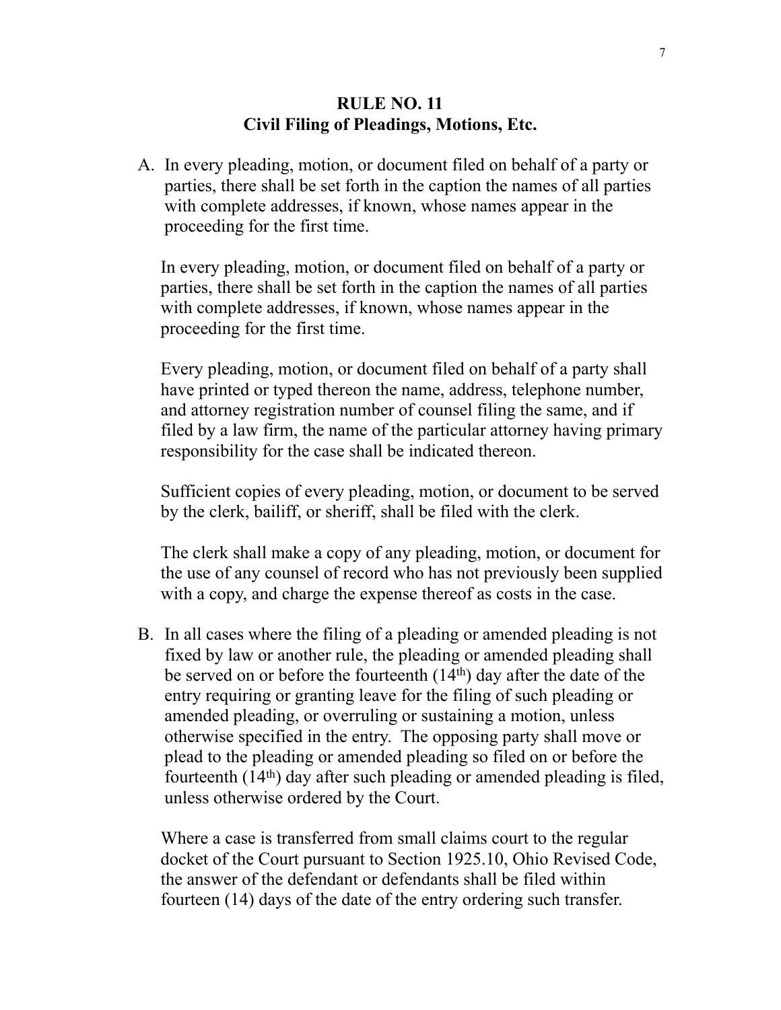### **RULE NO. 11 Civil Filing of Pleadings, Motions, Etc.**

A. In every pleading, motion, or document filed on behalf of a party or parties, there shall be set forth in the caption the names of all parties with complete addresses, if known, whose names appear in the proceeding for the first time.

In every pleading, motion, or document filed on behalf of a party or parties, there shall be set forth in the caption the names of all parties with complete addresses, if known, whose names appear in the proceeding for the first time.

Every pleading, motion, or document filed on behalf of a party shall have printed or typed thereon the name, address, telephone number, and attorney registration number of counsel filing the same, and if filed by a law firm, the name of the particular attorney having primary responsibility for the case shall be indicated thereon.

Sufficient copies of every pleading, motion, or document to be served by the clerk, bailiff, or sheriff, shall be filed with the clerk.

The clerk shall make a copy of any pleading, motion, or document for the use of any counsel of record who has not previously been supplied with a copy, and charge the expense thereof as costs in the case.

B. In all cases where the filing of a pleading or amended pleading is not fixed by law or another rule, the pleading or amended pleading shall be served on or before the fourteenth (14th) day after the date of the entry requiring or granting leave for the filing of such pleading or amended pleading, or overruling or sustaining a motion, unless otherwise specified in the entry. The opposing party shall move or plead to the pleading or amended pleading so filed on or before the fourteenth (14th) day after such pleading or amended pleading is filed, unless otherwise ordered by the Court.

Where a case is transferred from small claims court to the regular docket of the Court pursuant to Section 1925.10, Ohio Revised Code, the answer of the defendant or defendants shall be filed within fourteen (14) days of the date of the entry ordering such transfer.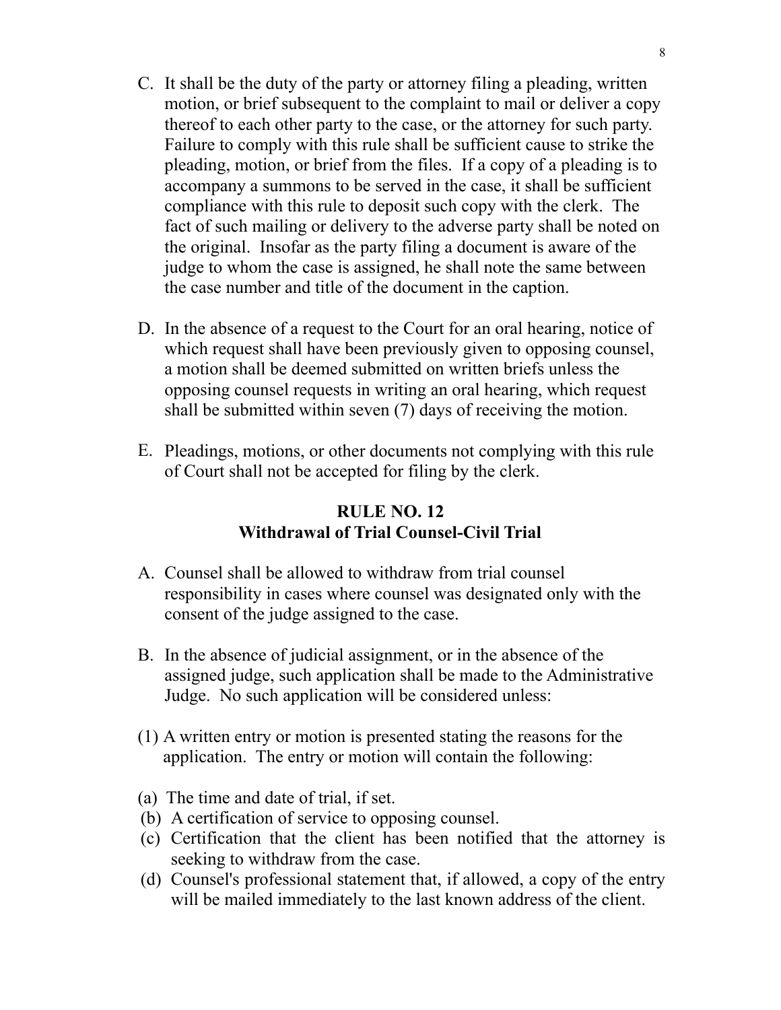- C. It shall be the duty of the party or attorney filing a pleading, written motion, or brief subsequent to the complaint to mail or deliver a copy thereof to each other party to the case, or the attorney for such party. Failure to comply with this rule shall be sufficient cause to strike the pleading, motion, or brief from the files. If a copy of a pleading is to accompany a summons to be served in the case, it shall be sufficient compliance with this rule to deposit such copy with the clerk. The fact of such mailing or delivery to the adverse party shall be noted on the original. Insofar as the party filing a document is aware of the judge to whom the case is assigned, he shall note the same between the case number and title of the document in the caption.
- D. In the absence of a request to the Court for an oral hearing, notice of which request shall have been previously given to opposing counsel, a motion shall be deemed submitted on written briefs unless the opposing counsel requests in writing an oral hearing, which request shall be submitted within seven (7) days of receiving the motion.
- E. Pleadings, motions, or other documents not complying with this rule of Court shall not be accepted for filing by the clerk.

# **RULE NO. 12 Withdrawal of Trial Counsel-Civil Trial**

- A. Counsel shall be allowed to withdraw from trial counsel responsibility in cases where counsel was designated only with the consent of the judge assigned to the case.
- B. In the absence of judicial assignment, or in the absence of the assigned judge, such application shall be made to the Administrative Judge. No such application will be considered unless:
- (1) A written entry or motion is presented stating the reasons for the application. The entry or motion will contain the following:
- (a) The time and date of trial, if set.
- (b) A certification of service to opposing counsel.
- (c) Certification that the client has been notified that the attorney is seeking to withdraw from the case.
- (d) Counsel's professional statement that, if allowed, a copy of the entry will be mailed immediately to the last known address of the client.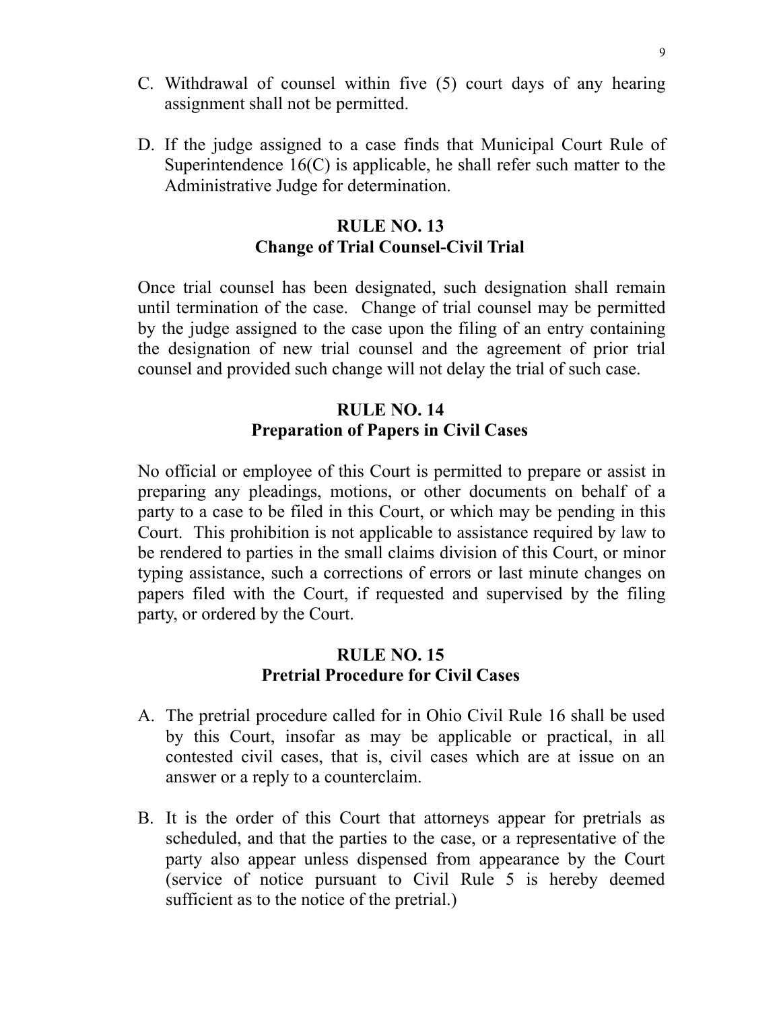- C. Withdrawal of counsel within five (5) court days of any hearing assignment shall not be permitted.
- D. If the judge assigned to a case finds that Municipal Court Rule of Superintendence  $16(C)$  is applicable, he shall refer such matter to the Administrative Judge for determination.

## **RULE NO. 13 Change of Trial Counsel-Civil Trial**

Once trial counsel has been designated, such designation shall remain until termination of the case. Change of trial counsel may be permitted by the judge assigned to the case upon the filing of an entry containing the designation of new trial counsel and the agreement of prior trial counsel and provided such change will not delay the trial of such case.

## **RULE NO. 14 Preparation of Papers in Civil Cases**

No official or employee of this Court is permitted to prepare or assist in preparing any pleadings, motions, or other documents on behalf of a party to a case to be filed in this Court, or which may be pending in this Court. This prohibition is not applicable to assistance required by law to be rendered to parties in the small claims division of this Court, or minor typing assistance, such a corrections of errors or last minute changes on papers filed with the Court, if requested and supervised by the filing party, or ordered by the Court.

## **RULE NO. 15 Pretrial Procedure for Civil Cases**

- A. The pretrial procedure called for in Ohio Civil Rule 16 shall be used by this Court, insofar as may be applicable or practical, in all contested civil cases, that is, civil cases which are at issue on an answer or a reply to a counterclaim.
- B. It is the order of this Court that attorneys appear for pretrials as scheduled, and that the parties to the case, or a representative of the party also appear unless dispensed from appearance by the Court (service of notice pursuant to Civil Rule 5 is hereby deemed sufficient as to the notice of the pretrial.)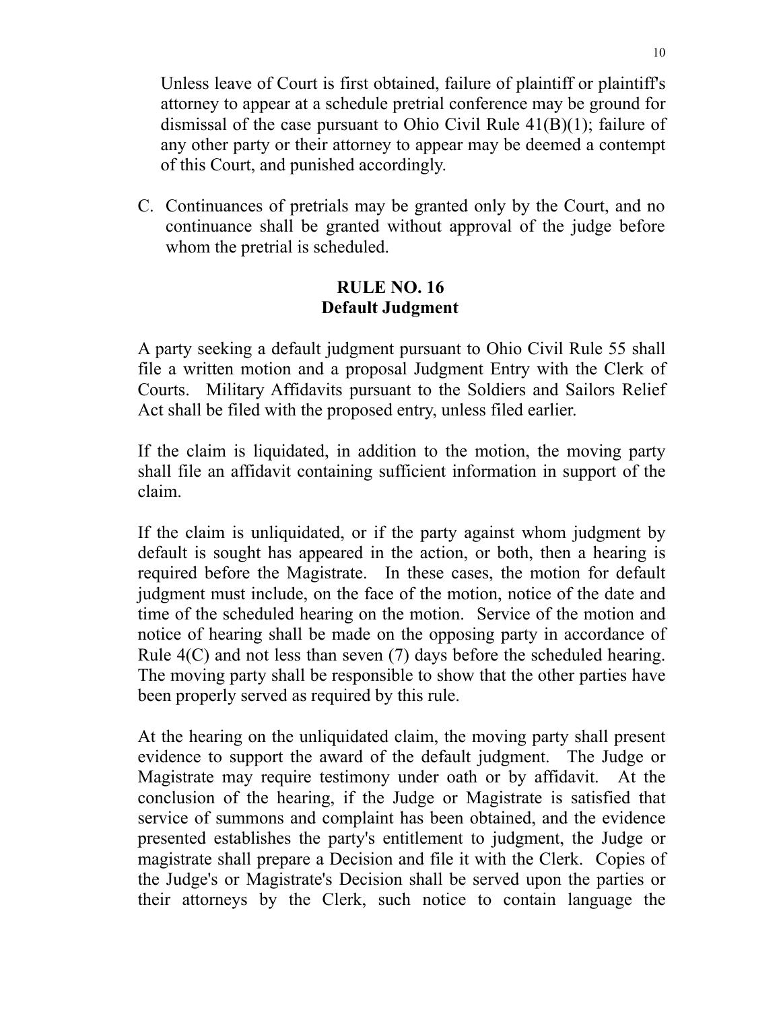Unless leave of Court is first obtained, failure of plaintiff or plaintiff's attorney to appear at a schedule pretrial conference may be ground for dismissal of the case pursuant to Ohio Civil Rule 41(B)(1); failure of any other party or their attorney to appear may be deemed a contempt of this Court, and punished accordingly.

C. Continuances of pretrials may be granted only by the Court, and no continuance shall be granted without approval of the judge before whom the pretrial is scheduled.

## **RULE NO. 16 Default Judgment**

A party seeking a default judgment pursuant to Ohio Civil Rule 55 shall file a written motion and a proposal Judgment Entry with the Clerk of Courts. Military Affidavits pursuant to the Soldiers and Sailors Relief Act shall be filed with the proposed entry, unless filed earlier.

If the claim is liquidated, in addition to the motion, the moving party shall file an affidavit containing sufficient information in support of the claim.

If the claim is unliquidated, or if the party against whom judgment by default is sought has appeared in the action, or both, then a hearing is required before the Magistrate. In these cases, the motion for default judgment must include, on the face of the motion, notice of the date and time of the scheduled hearing on the motion. Service of the motion and notice of hearing shall be made on the opposing party in accordance of Rule 4(C) and not less than seven (7) days before the scheduled hearing. The moving party shall be responsible to show that the other parties have been properly served as required by this rule.

At the hearing on the unliquidated claim, the moving party shall present evidence to support the award of the default judgment. The Judge or Magistrate may require testimony under oath or by affidavit. At the conclusion of the hearing, if the Judge or Magistrate is satisfied that service of summons and complaint has been obtained, and the evidence presented establishes the party's entitlement to judgment, the Judge or magistrate shall prepare a Decision and file it with the Clerk. Copies of the Judge's or Magistrate's Decision shall be served upon the parties or their attorneys by the Clerk, such notice to contain language the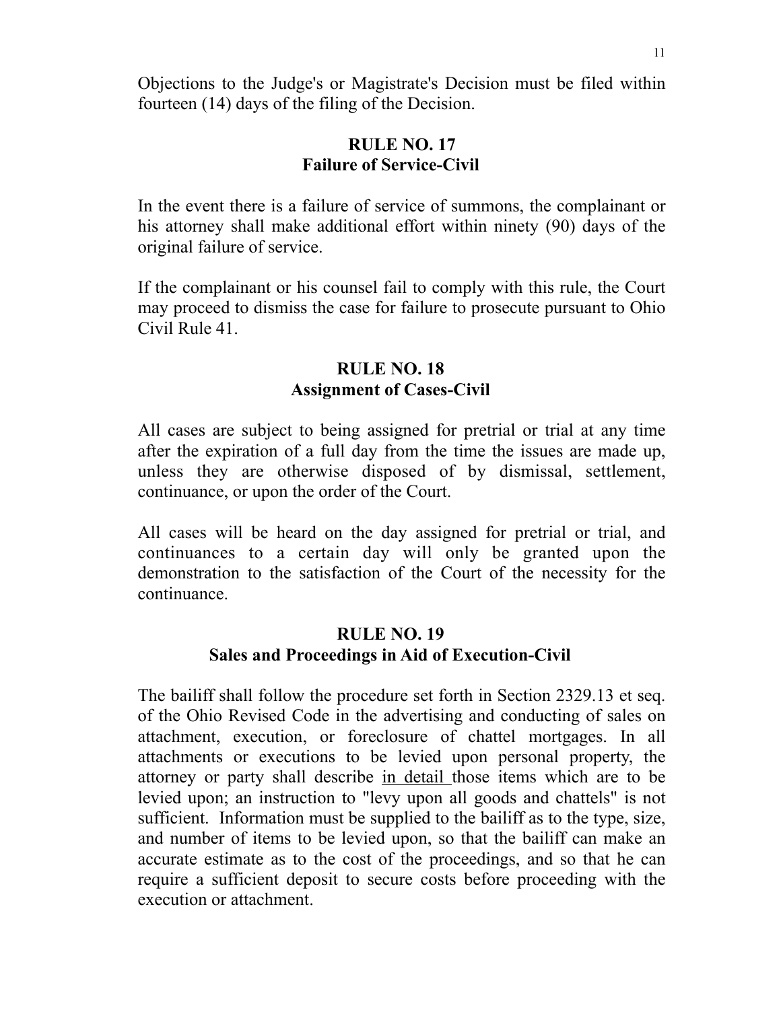Objections to the Judge's or Magistrate's Decision must be filed within fourteen (14) days of the filing of the Decision.

## **RULE NO. 17 Failure of Service-Civil**

In the event there is a failure of service of summons, the complainant or his attorney shall make additional effort within ninety (90) days of the original failure of service.

If the complainant or his counsel fail to comply with this rule, the Court may proceed to dismiss the case for failure to prosecute pursuant to Ohio Civil Rule 41.

### **RULE NO. 18 Assignment of Cases-Civil**

All cases are subject to being assigned for pretrial or trial at any time after the expiration of a full day from the time the issues are made up, unless they are otherwise disposed of by dismissal, settlement, continuance, or upon the order of the Court.

All cases will be heard on the day assigned for pretrial or trial, and continuances to a certain day will only be granted upon the demonstration to the satisfaction of the Court of the necessity for the continuance.

## **RULE NO. 19 Sales and Proceedings in Aid of Execution-Civil**

The bailiff shall follow the procedure set forth in Section 2329.13 et seq. of the Ohio Revised Code in the advertising and conducting of sales on attachment, execution, or foreclosure of chattel mortgages. In all attachments or executions to be levied upon personal property, the attorney or party shall describe in detail those items which are to be levied upon; an instruction to "levy upon all goods and chattels" is not sufficient. Information must be supplied to the bailiff as to the type, size, and number of items to be levied upon, so that the bailiff can make an accurate estimate as to the cost of the proceedings, and so that he can require a sufficient deposit to secure costs before proceeding with the execution or attachment.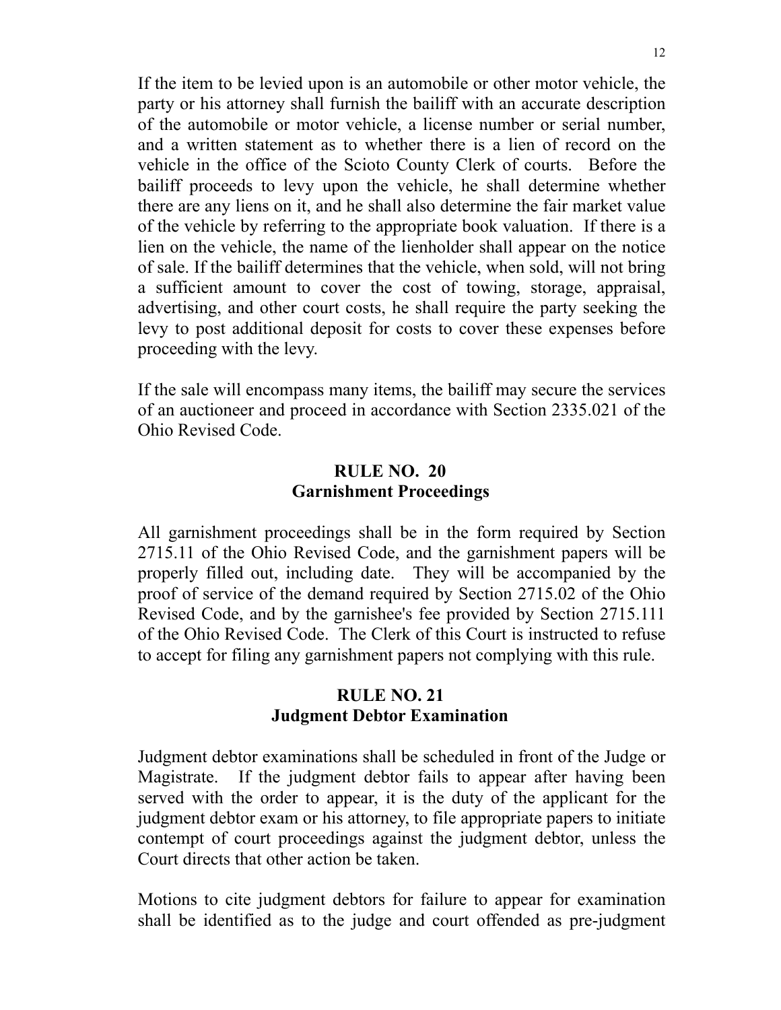If the item to be levied upon is an automobile or other motor vehicle, the party or his attorney shall furnish the bailiff with an accurate description of the automobile or motor vehicle, a license number or serial number, and a written statement as to whether there is a lien of record on the vehicle in the office of the Scioto County Clerk of courts. Before the bailiff proceeds to levy upon the vehicle, he shall determine whether there are any liens on it, and he shall also determine the fair market value of the vehicle by referring to the appropriate book valuation. If there is a lien on the vehicle, the name of the lienholder shall appear on the notice of sale. If the bailiff determines that the vehicle, when sold, will not bring a sufficient amount to cover the cost of towing, storage, appraisal, advertising, and other court costs, he shall require the party seeking the levy to post additional deposit for costs to cover these expenses before proceeding with the levy.

If the sale will encompass many items, the bailiff may secure the services of an auctioneer and proceed in accordance with Section 2335.021 of the Ohio Revised Code.

### **RULE NO. 20 Garnishment Proceedings**

All garnishment proceedings shall be in the form required by Section 2715.11 of the Ohio Revised Code, and the garnishment papers will be properly filled out, including date. They will be accompanied by the proof of service of the demand required by Section 2715.02 of the Ohio Revised Code, and by the garnishee's fee provided by Section 2715.111 of the Ohio Revised Code. The Clerk of this Court is instructed to refuse to accept for filing any garnishment papers not complying with this rule.

## **RULE NO. 21 Judgment Debtor Examination**

Judgment debtor examinations shall be scheduled in front of the Judge or Magistrate. If the judgment debtor fails to appear after having been served with the order to appear, it is the duty of the applicant for the judgment debtor exam or his attorney, to file appropriate papers to initiate contempt of court proceedings against the judgment debtor, unless the Court directs that other action be taken.

Motions to cite judgment debtors for failure to appear for examination shall be identified as to the judge and court offended as pre-judgment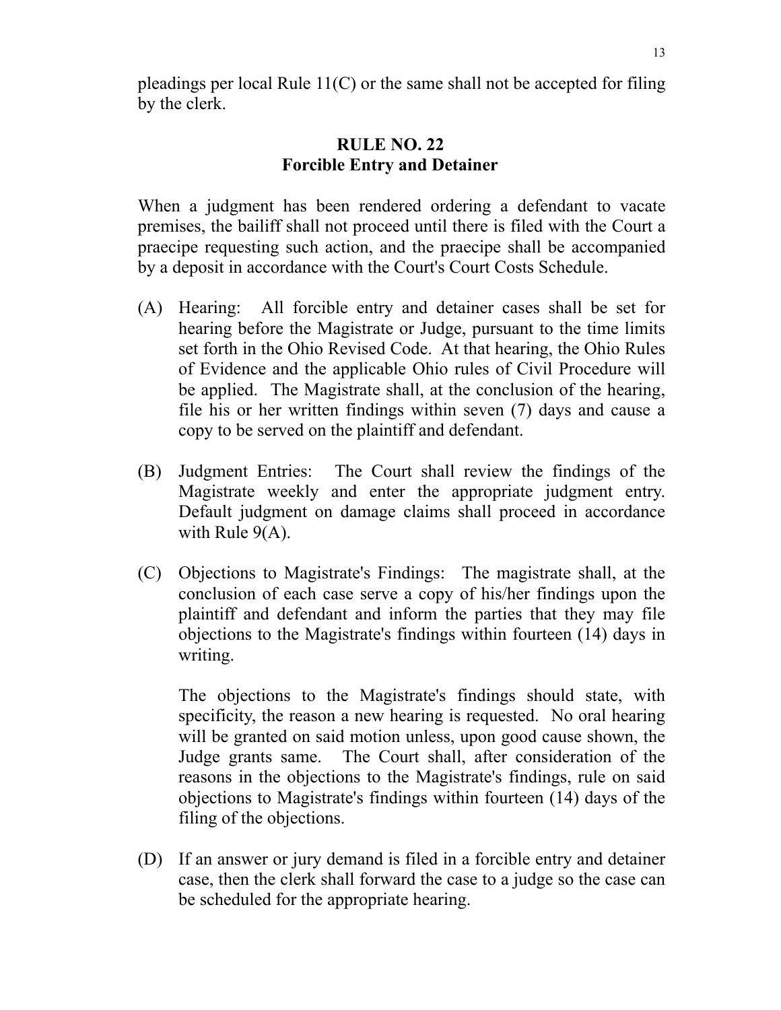pleadings per local Rule  $11(C)$  or the same shall not be accepted for filing by the clerk.

## **RULE NO. 22 Forcible Entry and Detainer**

When a judgment has been rendered ordering a defendant to vacate premises, the bailiff shall not proceed until there is filed with the Court a praecipe requesting such action, and the praecipe shall be accompanied by a deposit in accordance with the Court's Court Costs Schedule.

- (A) Hearing: All forcible entry and detainer cases shall be set for hearing before the Magistrate or Judge, pursuant to the time limits set forth in the Ohio Revised Code. At that hearing, the Ohio Rules of Evidence and the applicable Ohio rules of Civil Procedure will be applied. The Magistrate shall, at the conclusion of the hearing, file his or her written findings within seven (7) days and cause a copy to be served on the plaintiff and defendant.
- (B) Judgment Entries: The Court shall review the findings of the Magistrate weekly and enter the appropriate judgment entry. Default judgment on damage claims shall proceed in accordance with Rule 9(A).
- (C) Objections to Magistrate's Findings: The magistrate shall, at the conclusion of each case serve a copy of his/her findings upon the plaintiff and defendant and inform the parties that they may file objections to the Magistrate's findings within fourteen (14) days in writing.

The objections to the Magistrate's findings should state, with specificity, the reason a new hearing is requested. No oral hearing will be granted on said motion unless, upon good cause shown, the Judge grants same. The Court shall, after consideration of the reasons in the objections to the Magistrate's findings, rule on said objections to Magistrate's findings within fourteen (14) days of the filing of the objections.

(D) If an answer or jury demand is filed in a forcible entry and detainer case, then the clerk shall forward the case to a judge so the case can be scheduled for the appropriate hearing.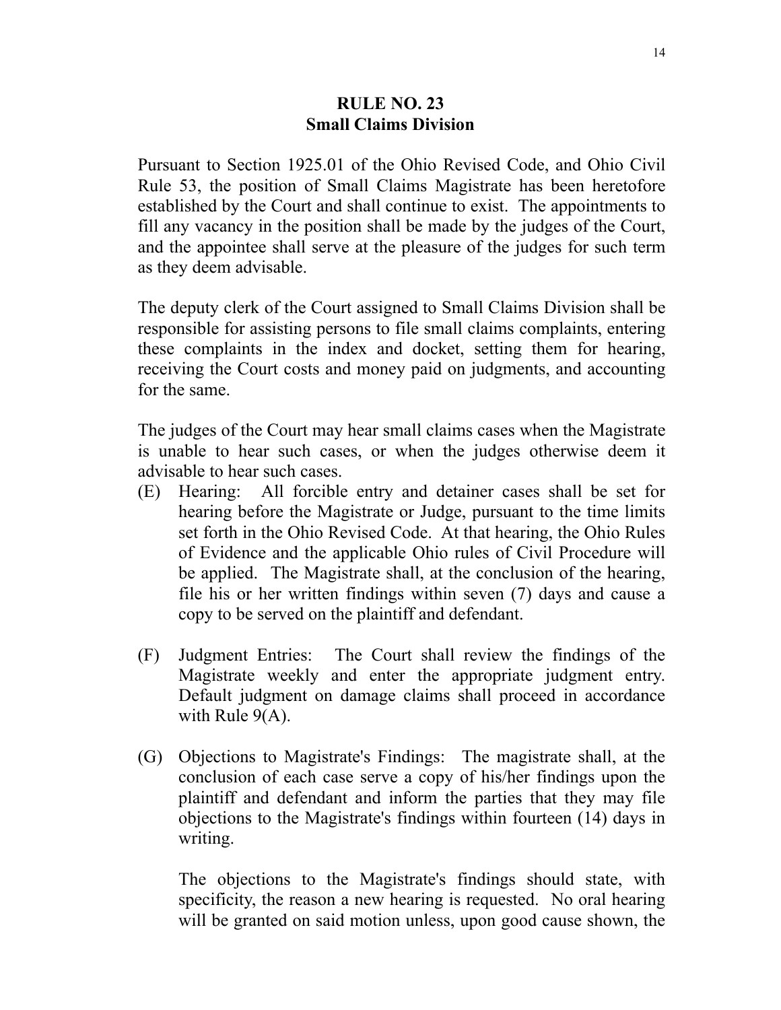### **RULE NO. 23 Small Claims Division**

Pursuant to Section 1925.01 of the Ohio Revised Code, and Ohio Civil Rule 53, the position of Small Claims Magistrate has been heretofore established by the Court and shall continue to exist. The appointments to fill any vacancy in the position shall be made by the judges of the Court, and the appointee shall serve at the pleasure of the judges for such term as they deem advisable.

The deputy clerk of the Court assigned to Small Claims Division shall be responsible for assisting persons to file small claims complaints, entering these complaints in the index and docket, setting them for hearing, receiving the Court costs and money paid on judgments, and accounting for the same.

The judges of the Court may hear small claims cases when the Magistrate is unable to hear such cases, or when the judges otherwise deem it advisable to hear such cases.

- (E) Hearing: All forcible entry and detainer cases shall be set for hearing before the Magistrate or Judge, pursuant to the time limits set forth in the Ohio Revised Code. At that hearing, the Ohio Rules of Evidence and the applicable Ohio rules of Civil Procedure will be applied. The Magistrate shall, at the conclusion of the hearing, file his or her written findings within seven (7) days and cause a copy to be served on the plaintiff and defendant.
- (F) Judgment Entries: The Court shall review the findings of the Magistrate weekly and enter the appropriate judgment entry. Default judgment on damage claims shall proceed in accordance with Rule 9(A).
- (G) Objections to Magistrate's Findings: The magistrate shall, at the conclusion of each case serve a copy of his/her findings upon the plaintiff and defendant and inform the parties that they may file objections to the Magistrate's findings within fourteen (14) days in writing.

The objections to the Magistrate's findings should state, with specificity, the reason a new hearing is requested. No oral hearing will be granted on said motion unless, upon good cause shown, the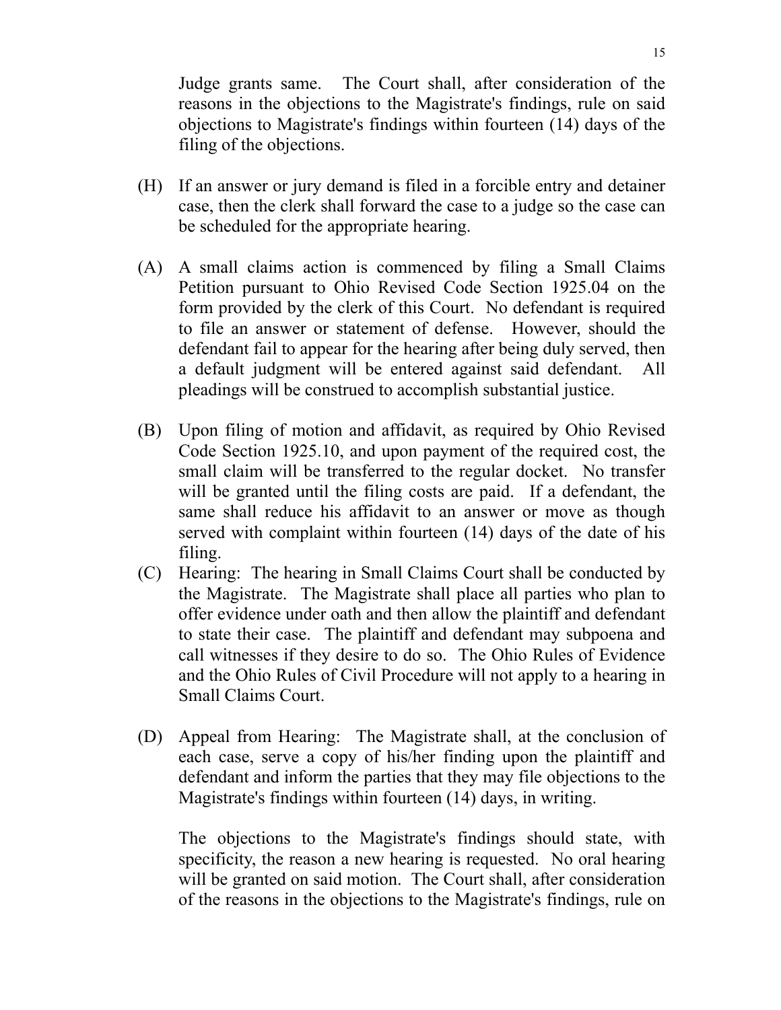Judge grants same. The Court shall, after consideration of the reasons in the objections to the Magistrate's findings, rule on said objections to Magistrate's findings within fourteen (14) days of the filing of the objections.

- (H) If an answer or jury demand is filed in a forcible entry and detainer case, then the clerk shall forward the case to a judge so the case can be scheduled for the appropriate hearing.
- (A) A small claims action is commenced by filing a Small Claims Petition pursuant to Ohio Revised Code Section 1925.04 on the form provided by the clerk of this Court. No defendant is required to file an answer or statement of defense. However, should the defendant fail to appear for the hearing after being duly served, then a default judgment will be entered against said defendant. All pleadings will be construed to accomplish substantial justice.
- (B) Upon filing of motion and affidavit, as required by Ohio Revised Code Section 1925.10, and upon payment of the required cost, the small claim will be transferred to the regular docket. No transfer will be granted until the filing costs are paid. If a defendant, the same shall reduce his affidavit to an answer or move as though served with complaint within fourteen (14) days of the date of his filing.
- (C) Hearing: The hearing in Small Claims Court shall be conducted by the Magistrate. The Magistrate shall place all parties who plan to offer evidence under oath and then allow the plaintiff and defendant to state their case. The plaintiff and defendant may subpoena and call witnesses if they desire to do so. The Ohio Rules of Evidence and the Ohio Rules of Civil Procedure will not apply to a hearing in Small Claims Court.
- (D) Appeal from Hearing: The Magistrate shall, at the conclusion of each case, serve a copy of his/her finding upon the plaintiff and defendant and inform the parties that they may file objections to the Magistrate's findings within fourteen (14) days, in writing.

The objections to the Magistrate's findings should state, with specificity, the reason a new hearing is requested. No oral hearing will be granted on said motion. The Court shall, after consideration of the reasons in the objections to the Magistrate's findings, rule on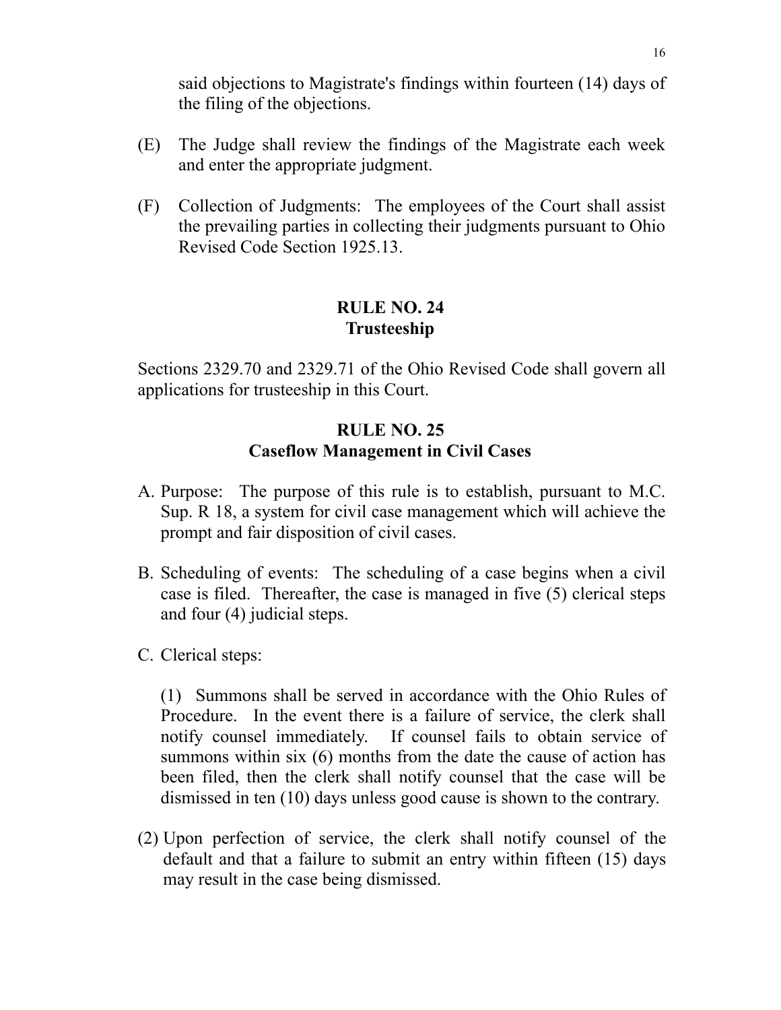said objections to Magistrate's findings within fourteen (14) days of the filing of the objections.

- (E) The Judge shall review the findings of the Magistrate each week and enter the appropriate judgment.
- (F) Collection of Judgments: The employees of the Court shall assist the prevailing parties in collecting their judgments pursuant to Ohio Revised Code Section 1925.13.

## **RULE NO. 24 Trusteeship**

Sections 2329.70 and 2329.71 of the Ohio Revised Code shall govern all applications for trusteeship in this Court.

## **RULE NO. 25 Caseflow Management in Civil Cases**

- A. Purpose: The purpose of this rule is to establish, pursuant to M.C. Sup. R 18, a system for civil case management which will achieve the prompt and fair disposition of civil cases.
- B. Scheduling of events: The scheduling of a case begins when a civil case is filed. Thereafter, the case is managed in five (5) clerical steps and four (4) judicial steps.
- C. Clerical steps:

(1) Summons shall be served in accordance with the Ohio Rules of Procedure. In the event there is a failure of service, the clerk shall notify counsel immediately. If counsel fails to obtain service of summons within six (6) months from the date the cause of action has been filed, then the clerk shall notify counsel that the case will be dismissed in ten (10) days unless good cause is shown to the contrary.

(2) Upon perfection of service, the clerk shall notify counsel of the default and that a failure to submit an entry within fifteen (15) days may result in the case being dismissed.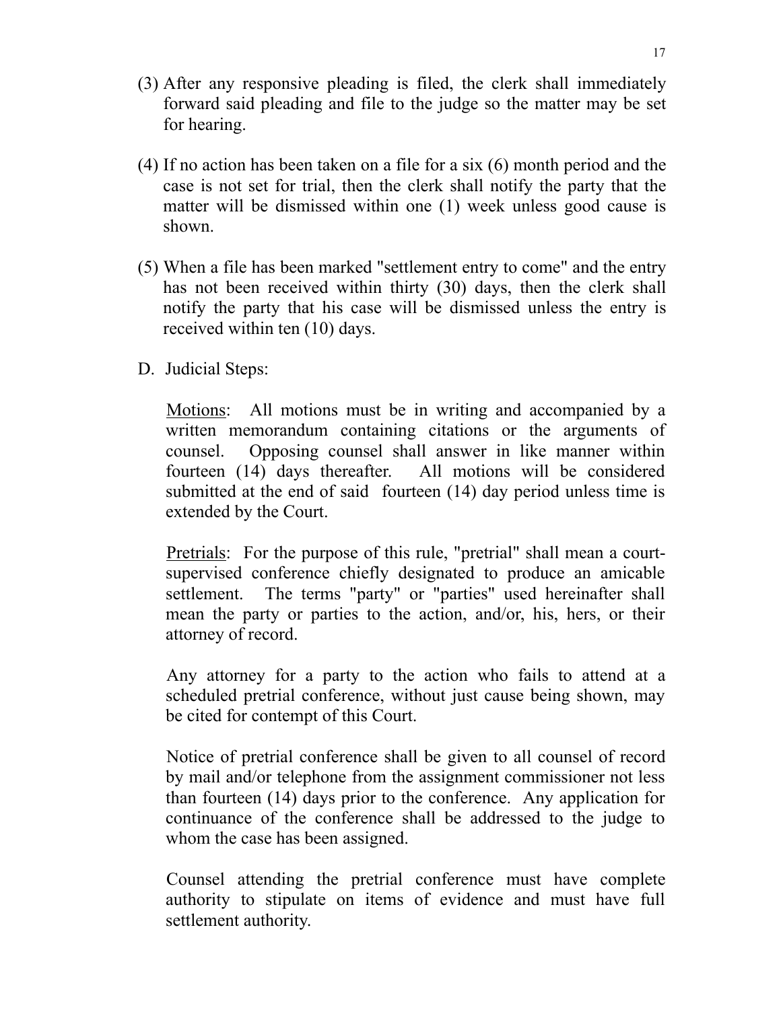- (3) After any responsive pleading is filed, the clerk shall immediately forward said pleading and file to the judge so the matter may be set for hearing.
- (4) If no action has been taken on a file for a six (6) month period and the case is not set for trial, then the clerk shall notify the party that the matter will be dismissed within one (1) week unless good cause is shown.
- (5) When a file has been marked "settlement entry to come" and the entry has not been received within thirty (30) days, then the clerk shall notify the party that his case will be dismissed unless the entry is received within ten (10) days.
- D. Judicial Steps:

Motions: All motions must be in writing and accompanied by a written memorandum containing citations or the arguments of counsel. Opposing counsel shall answer in like manner within fourteen (14) days thereafter. All motions will be considered submitted at the end of said fourteen (14) day period unless time is extended by the Court.

Pretrials: For the purpose of this rule, "pretrial" shall mean a courtsupervised conference chiefly designated to produce an amicable settlement. The terms "party" or "parties" used hereinafter shall mean the party or parties to the action, and/or, his, hers, or their attorney of record.

 Any attorney for a party to the action who fails to attend at a scheduled pretrial conference, without just cause being shown, may be cited for contempt of this Court.

 Notice of pretrial conference shall be given to all counsel of record by mail and/or telephone from the assignment commissioner not less than fourteen (14) days prior to the conference. Any application for continuance of the conference shall be addressed to the judge to whom the case has been assigned.

 Counsel attending the pretrial conference must have complete authority to stipulate on items of evidence and must have full settlement authority.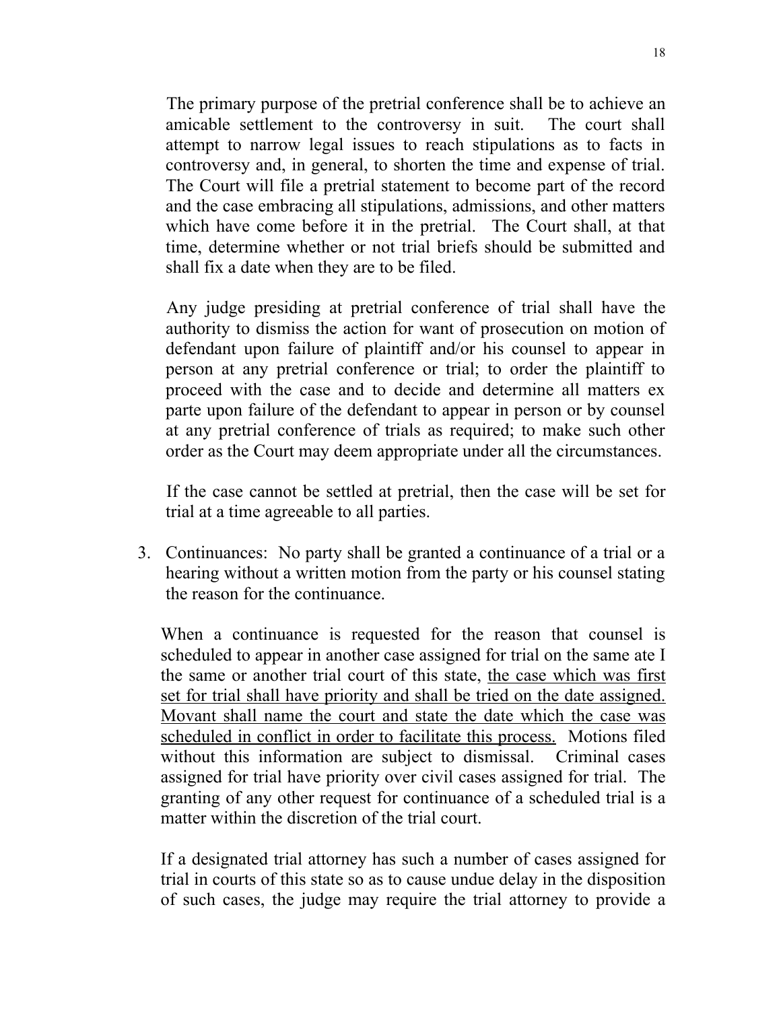The primary purpose of the pretrial conference shall be to achieve an amicable settlement to the controversy in suit. The court shall attempt to narrow legal issues to reach stipulations as to facts in controversy and, in general, to shorten the time and expense of trial. The Court will file a pretrial statement to become part of the record and the case embracing all stipulations, admissions, and other matters which have come before it in the pretrial. The Court shall, at that time, determine whether or not trial briefs should be submitted and shall fix a date when they are to be filed.

 Any judge presiding at pretrial conference of trial shall have the authority to dismiss the action for want of prosecution on motion of defendant upon failure of plaintiff and/or his counsel to appear in person at any pretrial conference or trial; to order the plaintiff to proceed with the case and to decide and determine all matters ex parte upon failure of the defendant to appear in person or by counsel at any pretrial conference of trials as required; to make such other order as the Court may deem appropriate under all the circumstances.

 If the case cannot be settled at pretrial, then the case will be set for trial at a time agreeable to all parties.

3. Continuances: No party shall be granted a continuance of a trial or a hearing without a written motion from the party or his counsel stating the reason for the continuance.

When a continuance is requested for the reason that counsel is scheduled to appear in another case assigned for trial on the same ate I the same or another trial court of this state, the case which was first set for trial shall have priority and shall be tried on the date assigned. Movant shall name the court and state the date which the case was scheduled in conflict in order to facilitate this process. Motions filed without this information are subject to dismissal. Criminal cases assigned for trial have priority over civil cases assigned for trial. The granting of any other request for continuance of a scheduled trial is a matter within the discretion of the trial court.

If a designated trial attorney has such a number of cases assigned for trial in courts of this state so as to cause undue delay in the disposition of such cases, the judge may require the trial attorney to provide a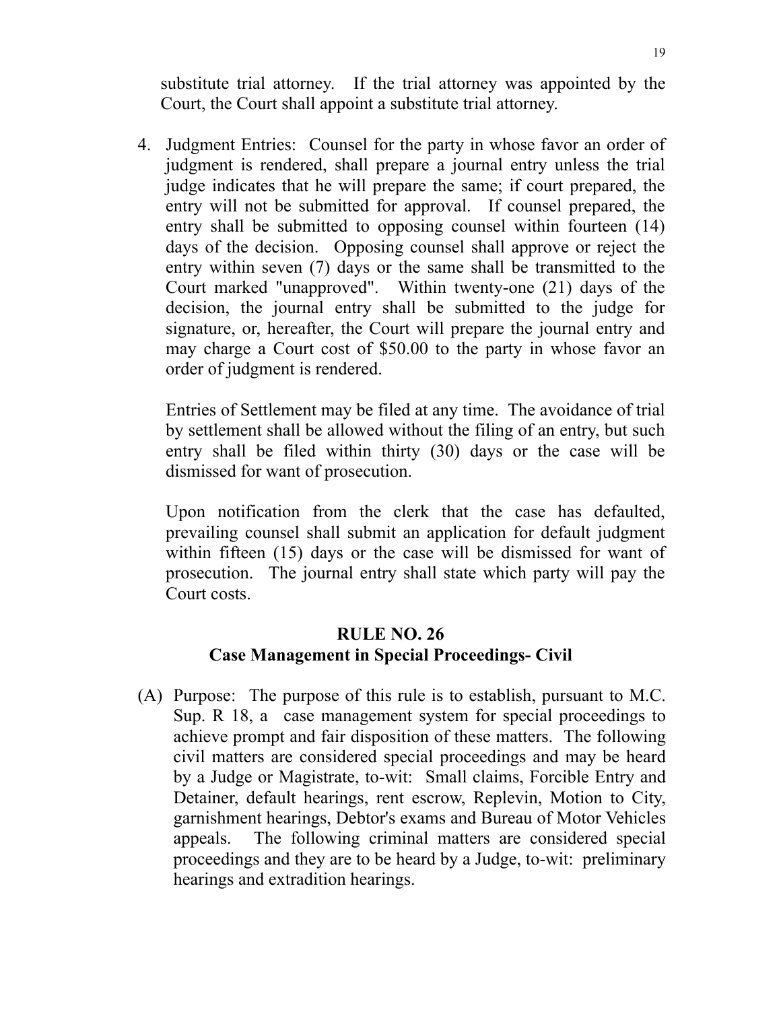substitute trial attorney. If the trial attorney was appointed by the Court, the Court shall appoint a substitute trial attorney.

4. Judgment Entries: Counsel for the party in whose favor an order of judgment is rendered, shall prepare a journal entry unless the trial judge indicates that he will prepare the same; if court prepared, the entry will not be submitted for approval. If counsel prepared, the entry shall be submitted to opposing counsel within fourteen (14) days of the decision. Opposing counsel shall approve or reject the entry within seven (7) days or the same shall be transmitted to the Court marked "unapproved". Within twenty-one (21) days of the decision, the journal entry shall be submitted to the judge for signature, or, hereafter, the Court will prepare the journal entry and may charge a Court cost of \$50.00 to the party in whose favor an order of judgment is rendered.

Entries of Settlement may be filed at any time. The avoidance of trial by settlement shall be allowed without the filing of an entry, but such entry shall be filed within thirty (30) days or the case will be dismissed for want of prosecution.

Upon notification from the clerk that the case has defaulted, prevailing counsel shall submit an application for default judgment within fifteen (15) days or the case will be dismissed for want of prosecution. The journal entry shall state which party will pay the Court costs.

## **RULE NO. 26 Case Management in Special Proceedings- Civil**

(A) Purpose: The purpose of this rule is to establish, pursuant to M.C. Sup. R 18, a case management system for special proceedings to achieve prompt and fair disposition of these matters. The following civil matters are considered special proceedings and may be heard by a Judge or Magistrate, to-wit: Small claims, Forcible Entry and Detainer, default hearings, rent escrow, Replevin, Motion to City, garnishment hearings, Debtor's exams and Bureau of Motor Vehicles appeals. The following criminal matters are considered special proceedings and they are to be heard by a Judge, to-wit: preliminary hearings and extradition hearings.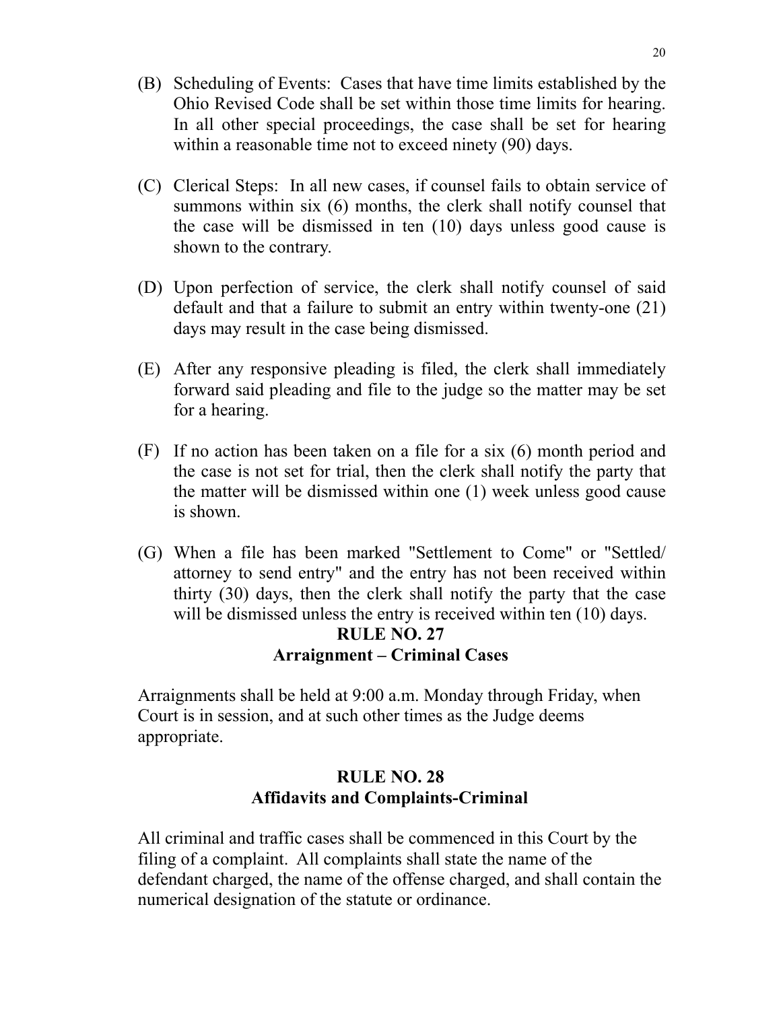- (B) Scheduling of Events: Cases that have time limits established by the Ohio Revised Code shall be set within those time limits for hearing. In all other special proceedings, the case shall be set for hearing within a reasonable time not to exceed ninety (90) days.
- (C) Clerical Steps: In all new cases, if counsel fails to obtain service of summons within six (6) months, the clerk shall notify counsel that the case will be dismissed in ten (10) days unless good cause is shown to the contrary.
- (D) Upon perfection of service, the clerk shall notify counsel of said default and that a failure to submit an entry within twenty-one (21) days may result in the case being dismissed.
- (E) After any responsive pleading is filed, the clerk shall immediately forward said pleading and file to the judge so the matter may be set for a hearing.
- (F) If no action has been taken on a file for a six (6) month period and the case is not set for trial, then the clerk shall notify the party that the matter will be dismissed within one (1) week unless good cause is shown.
- (G) When a file has been marked "Settlement to Come" or "Settled/ attorney to send entry" and the entry has not been received within thirty (30) days, then the clerk shall notify the party that the case will be dismissed unless the entry is received within ten  $(10)$  days.

### **RULE NO. 27 Arraignment – Criminal Cases**

Arraignments shall be held at 9:00 a.m. Monday through Friday, when Court is in session, and at such other times as the Judge deems appropriate.

# **RULE NO. 28 Affidavits and Complaints-Criminal**

All criminal and traffic cases shall be commenced in this Court by the filing of a complaint. All complaints shall state the name of the defendant charged, the name of the offense charged, and shall contain the numerical designation of the statute or ordinance.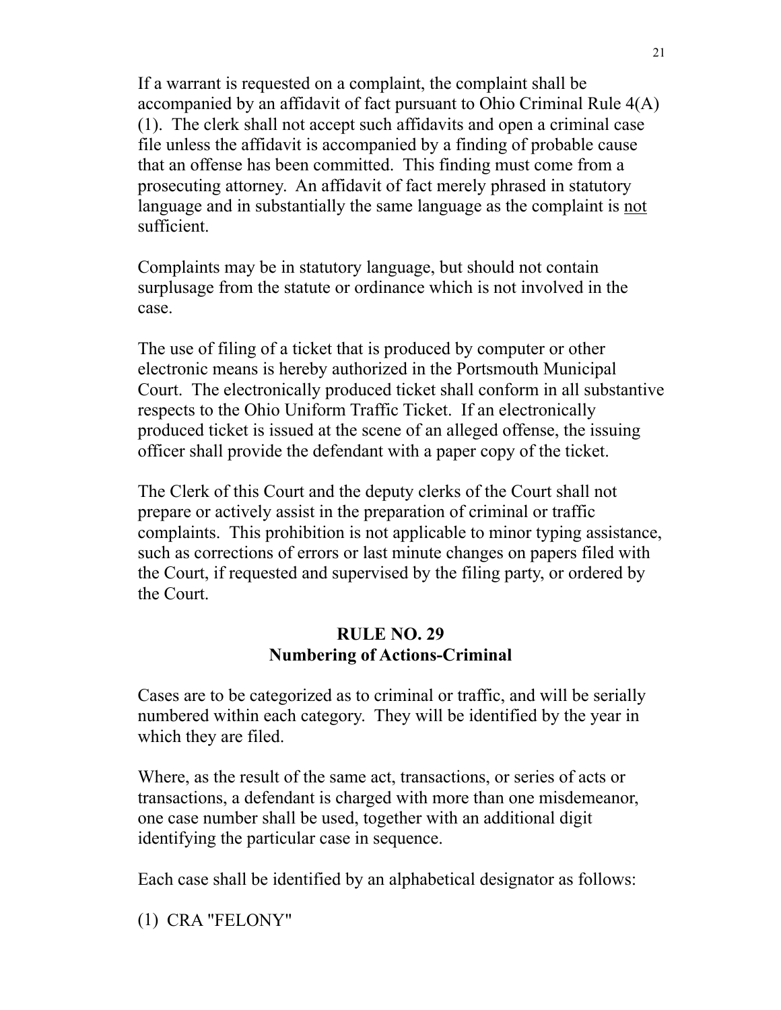If a warrant is requested on a complaint, the complaint shall be accompanied by an affidavit of fact pursuant to Ohio Criminal Rule 4(A) (1). The clerk shall not accept such affidavits and open a criminal case file unless the affidavit is accompanied by a finding of probable cause that an offense has been committed. This finding must come from a prosecuting attorney. An affidavit of fact merely phrased in statutory language and in substantially the same language as the complaint is not sufficient.

Complaints may be in statutory language, but should not contain surplusage from the statute or ordinance which is not involved in the case.

The use of filing of a ticket that is produced by computer or other electronic means is hereby authorized in the Portsmouth Municipal Court. The electronically produced ticket shall conform in all substantive respects to the Ohio Uniform Traffic Ticket. If an electronically produced ticket is issued at the scene of an alleged offense, the issuing officer shall provide the defendant with a paper copy of the ticket.

The Clerk of this Court and the deputy clerks of the Court shall not prepare or actively assist in the preparation of criminal or traffic complaints. This prohibition is not applicable to minor typing assistance, such as corrections of errors or last minute changes on papers filed with the Court, if requested and supervised by the filing party, or ordered by the Court.

## **RULE NO. 29 Numbering of Actions-Criminal**

Cases are to be categorized as to criminal or traffic, and will be serially numbered within each category. They will be identified by the year in which they are filed.

Where, as the result of the same act, transactions, or series of acts or transactions, a defendant is charged with more than one misdemeanor, one case number shall be used, together with an additional digit identifying the particular case in sequence.

Each case shall be identified by an alphabetical designator as follows:

(1) CRA "FELONY"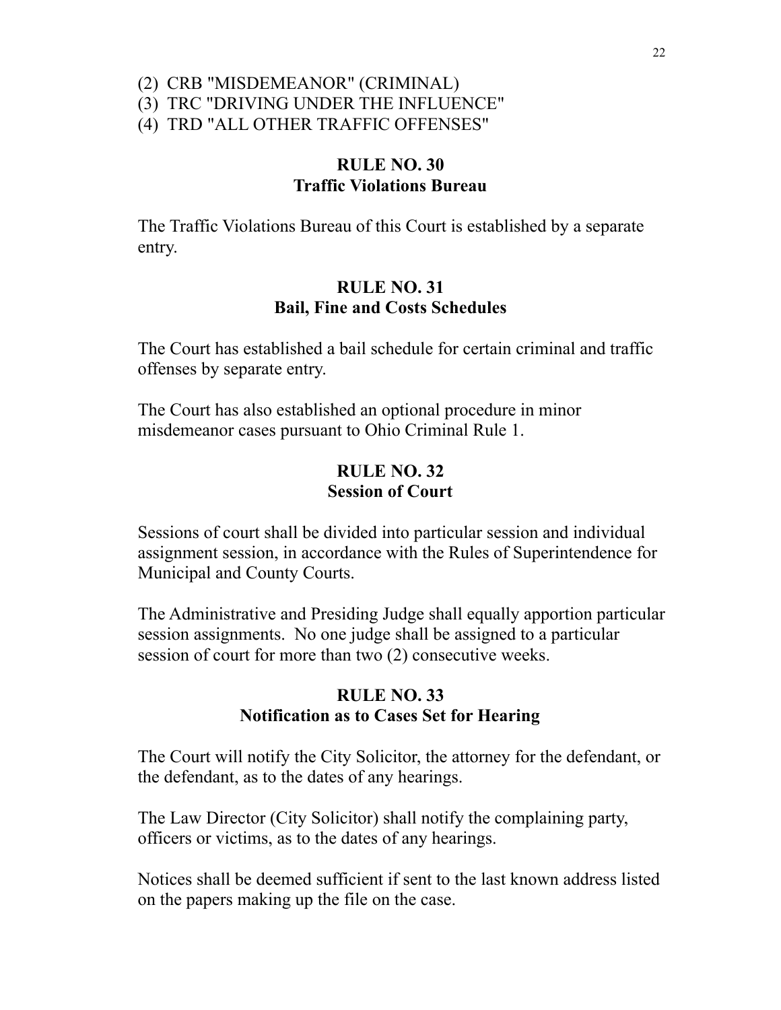### (2) CRB "MISDEMEANOR" (CRIMINAL) (3) TRC "DRIVING UNDER THE INFLUENCE"

(4) TRD "ALL OTHER TRAFFIC OFFENSES"

## **RULE NO. 30 Traffic Violations Bureau**

The Traffic Violations Bureau of this Court is established by a separate entry.

## **RULE NO. 31 Bail, Fine and Costs Schedules**

The Court has established a bail schedule for certain criminal and traffic offenses by separate entry.

The Court has also established an optional procedure in minor misdemeanor cases pursuant to Ohio Criminal Rule 1.

## **RULE NO. 32 Session of Court**

Sessions of court shall be divided into particular session and individual assignment session, in accordance with the Rules of Superintendence for Municipal and County Courts.

The Administrative and Presiding Judge shall equally apportion particular session assignments. No one judge shall be assigned to a particular session of court for more than two (2) consecutive weeks.

# **RULE NO. 33 Notification as to Cases Set for Hearing**

The Court will notify the City Solicitor, the attorney for the defendant, or the defendant, as to the dates of any hearings.

The Law Director (City Solicitor) shall notify the complaining party, officers or victims, as to the dates of any hearings.

Notices shall be deemed sufficient if sent to the last known address listed on the papers making up the file on the case.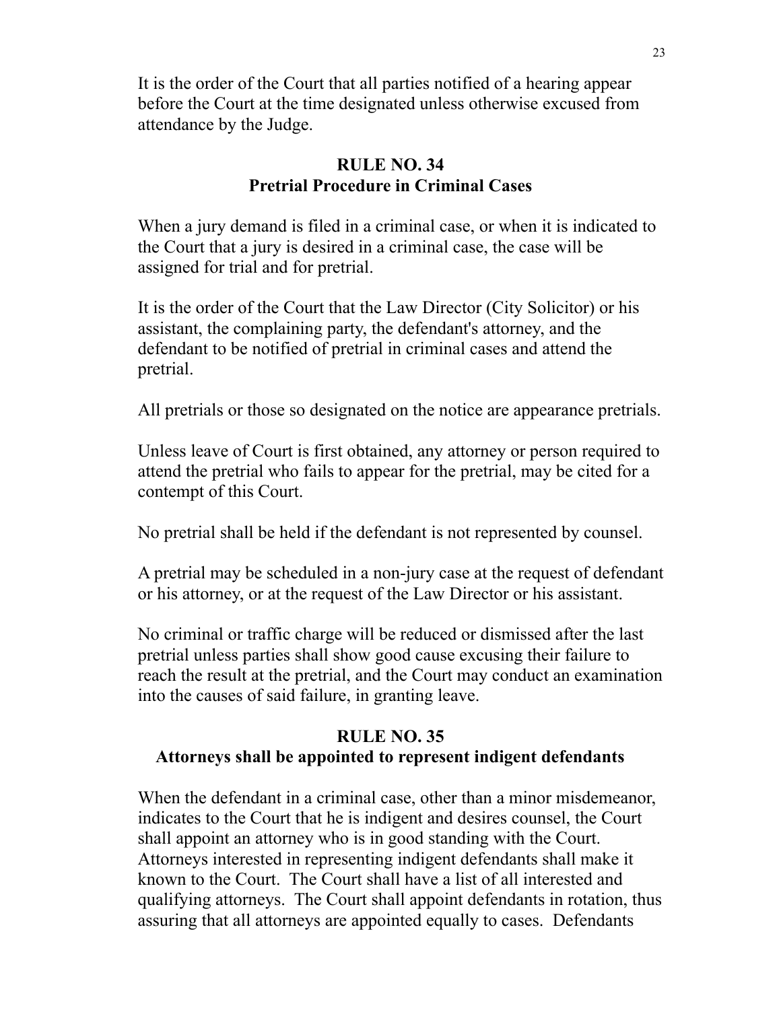It is the order of the Court that all parties notified of a hearing appear before the Court at the time designated unless otherwise excused from attendance by the Judge.

# **RULE NO. 34 Pretrial Procedure in Criminal Cases**

When a jury demand is filed in a criminal case, or when it is indicated to the Court that a jury is desired in a criminal case, the case will be assigned for trial and for pretrial.

It is the order of the Court that the Law Director (City Solicitor) or his assistant, the complaining party, the defendant's attorney, and the defendant to be notified of pretrial in criminal cases and attend the pretrial.

All pretrials or those so designated on the notice are appearance pretrials.

Unless leave of Court is first obtained, any attorney or person required to attend the pretrial who fails to appear for the pretrial, may be cited for a contempt of this Court.

No pretrial shall be held if the defendant is not represented by counsel.

A pretrial may be scheduled in a non-jury case at the request of defendant or his attorney, or at the request of the Law Director or his assistant.

No criminal or traffic charge will be reduced or dismissed after the last pretrial unless parties shall show good cause excusing their failure to reach the result at the pretrial, and the Court may conduct an examination into the causes of said failure, in granting leave.

## **RULE NO. 35 Attorneys shall be appointed to represent indigent defendants**

When the defendant in a criminal case, other than a minor misdemeanor, indicates to the Court that he is indigent and desires counsel, the Court shall appoint an attorney who is in good standing with the Court. Attorneys interested in representing indigent defendants shall make it known to the Court. The Court shall have a list of all interested and qualifying attorneys. The Court shall appoint defendants in rotation, thus assuring that all attorneys are appointed equally to cases. Defendants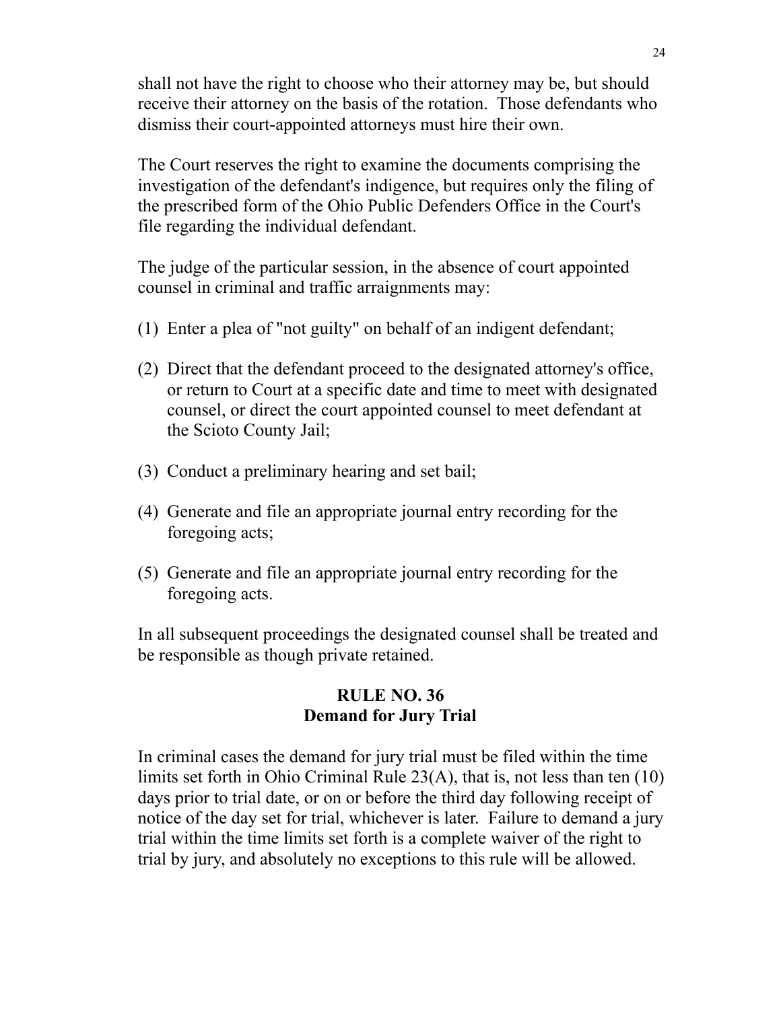shall not have the right to choose who their attorney may be, but should receive their attorney on the basis of the rotation. Those defendants who dismiss their court-appointed attorneys must hire their own.

The Court reserves the right to examine the documents comprising the investigation of the defendant's indigence, but requires only the filing of the prescribed form of the Ohio Public Defenders Office in the Court's file regarding the individual defendant.

The judge of the particular session, in the absence of court appointed counsel in criminal and traffic arraignments may:

- (1) Enter a plea of "not guilty" on behalf of an indigent defendant;
- (2) Direct that the defendant proceed to the designated attorney's office, or return to Court at a specific date and time to meet with designated counsel, or direct the court appointed counsel to meet defendant at the Scioto County Jail;
- (3) Conduct a preliminary hearing and set bail;
- (4) Generate and file an appropriate journal entry recording for the foregoing acts;
- (5) Generate and file an appropriate journal entry recording for the foregoing acts.

In all subsequent proceedings the designated counsel shall be treated and be responsible as though private retained.

## **RULE NO. 36 Demand for Jury Trial**

In criminal cases the demand for jury trial must be filed within the time limits set forth in Ohio Criminal Rule 23(A), that is, not less than ten (10) days prior to trial date, or on or before the third day following receipt of notice of the day set for trial, whichever is later. Failure to demand a jury trial within the time limits set forth is a complete waiver of the right to trial by jury, and absolutely no exceptions to this rule will be allowed.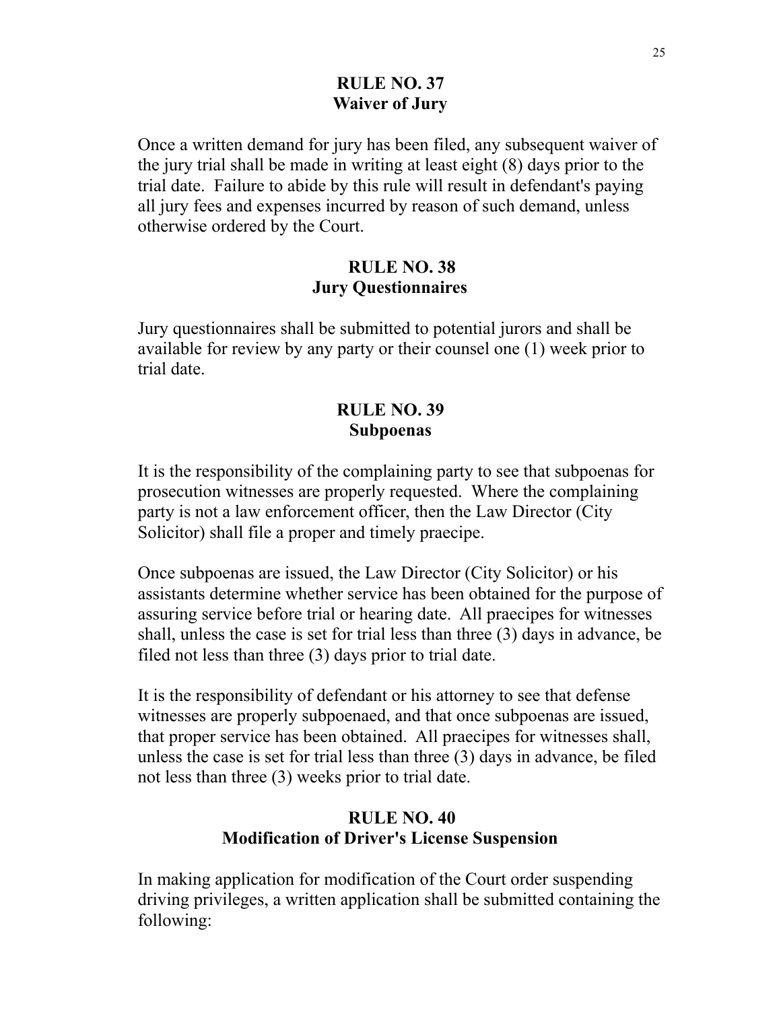## **RULE NO. 37 Waiver of Jury**

Once a written demand for jury has been filed, any subsequent waiver of the jury trial shall be made in writing at least eight (8) days prior to the trial date. Failure to abide by this rule will result in defendant's paying all jury fees and expenses incurred by reason of such demand, unless otherwise ordered by the Court.

## **RULE NO. 38 Jury Questionnaires**

Jury questionnaires shall be submitted to potential jurors and shall be available for review by any party or their counsel one (1) week prior to trial date.

## **RULE NO. 39 Subpoenas**

It is the responsibility of the complaining party to see that subpoenas for prosecution witnesses are properly requested. Where the complaining party is not a law enforcement officer, then the Law Director (City Solicitor) shall file a proper and timely praecipe.

Once subpoenas are issued, the Law Director (City Solicitor) or his assistants determine whether service has been obtained for the purpose of assuring service before trial or hearing date. All praecipes for witnesses shall, unless the case is set for trial less than three (3) days in advance, be filed not less than three (3) days prior to trial date.

It is the responsibility of defendant or his attorney to see that defense witnesses are properly subpoenaed, and that once subpoenas are issued, that proper service has been obtained. All praecipes for witnesses shall, unless the case is set for trial less than three (3) days in advance, be filed not less than three (3) weeks prior to trial date.

# **RULE NO. 40 Modification of Driver's License Suspension**

In making application for modification of the Court order suspending driving privileges, a written application shall be submitted containing the following: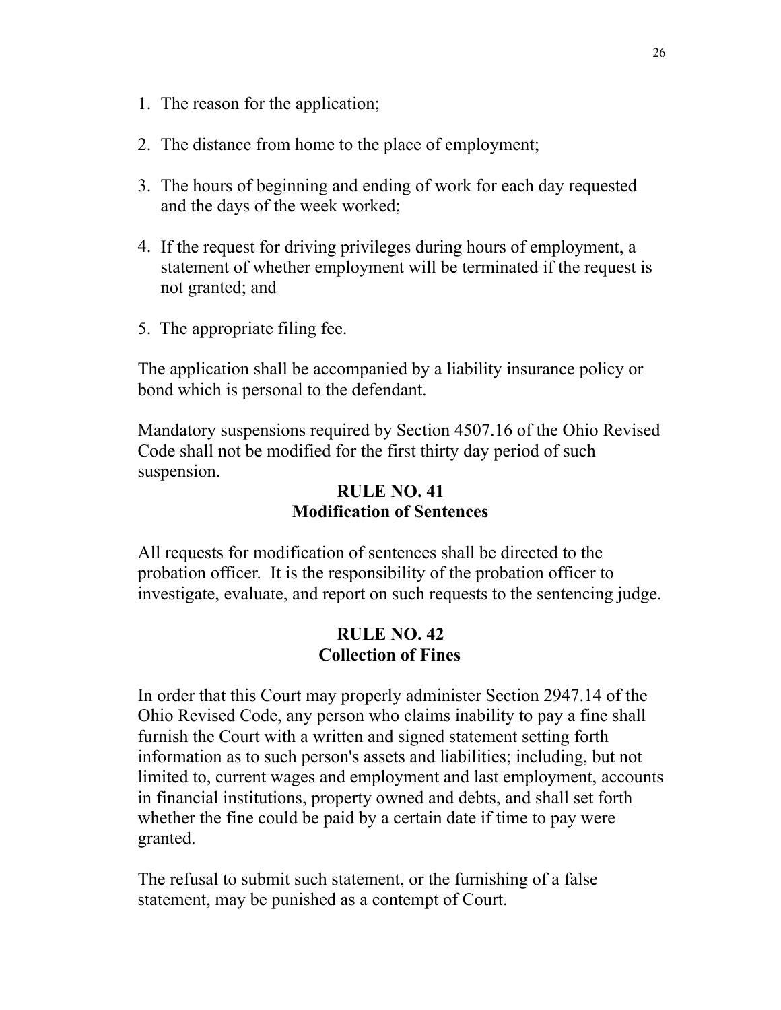- 1. The reason for the application;
- 2. The distance from home to the place of employment;
- 3. The hours of beginning and ending of work for each day requested and the days of the week worked;
- 4. If the request for driving privileges during hours of employment, a statement of whether employment will be terminated if the request is not granted; and
- 5. The appropriate filing fee.

The application shall be accompanied by a liability insurance policy or bond which is personal to the defendant.

Mandatory suspensions required by Section 4507.16 of the Ohio Revised Code shall not be modified for the first thirty day period of such suspension.

## **RULE NO. 41 Modification of Sentences**

All requests for modification of sentences shall be directed to the probation officer. It is the responsibility of the probation officer to investigate, evaluate, and report on such requests to the sentencing judge.

## **RULE NO. 42 Collection of Fines**

In order that this Court may properly administer Section 2947.14 of the Ohio Revised Code, any person who claims inability to pay a fine shall furnish the Court with a written and signed statement setting forth information as to such person's assets and liabilities; including, but not limited to, current wages and employment and last employment, accounts in financial institutions, property owned and debts, and shall set forth whether the fine could be paid by a certain date if time to pay were granted.

The refusal to submit such statement, or the furnishing of a false statement, may be punished as a contempt of Court.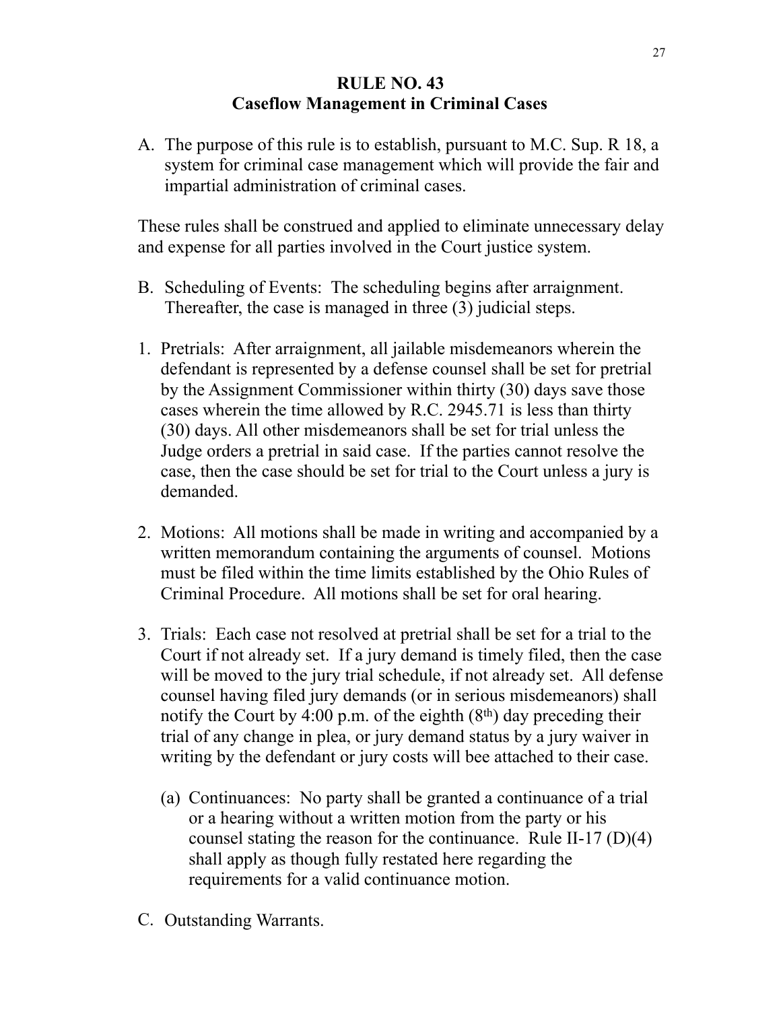# **RULE NO. 43 Caseflow Management in Criminal Cases**

A. The purpose of this rule is to establish, pursuant to M.C. Sup. R 18, a system for criminal case management which will provide the fair and impartial administration of criminal cases.

These rules shall be construed and applied to eliminate unnecessary delay and expense for all parties involved in the Court justice system.

- B. Scheduling of Events: The scheduling begins after arraignment. Thereafter, the case is managed in three (3) judicial steps.
- 1. Pretrials: After arraignment, all jailable misdemeanors wherein the defendant is represented by a defense counsel shall be set for pretrial by the Assignment Commissioner within thirty (30) days save those cases wherein the time allowed by R.C. 2945.71 is less than thirty (30) days. All other misdemeanors shall be set for trial unless the Judge orders a pretrial in said case. If the parties cannot resolve the case, then the case should be set for trial to the Court unless a jury is demanded.
- 2. Motions: All motions shall be made in writing and accompanied by a written memorandum containing the arguments of counsel. Motions must be filed within the time limits established by the Ohio Rules of Criminal Procedure. All motions shall be set for oral hearing.
- 3. Trials: Each case not resolved at pretrial shall be set for a trial to the Court if not already set. If a jury demand is timely filed, then the case will be moved to the jury trial schedule, if not already set. All defense counsel having filed jury demands (or in serious misdemeanors) shall notify the Court by 4:00 p.m. of the eighth  $(8<sup>th</sup>)$  day preceding their trial of any change in plea, or jury demand status by a jury waiver in writing by the defendant or jury costs will bee attached to their case.
	- (a) Continuances: No party shall be granted a continuance of a trial or a hearing without a written motion from the party or his counsel stating the reason for the continuance. Rule II-17 (D)(4) shall apply as though fully restated here regarding the requirements for a valid continuance motion.
- C. Outstanding Warrants.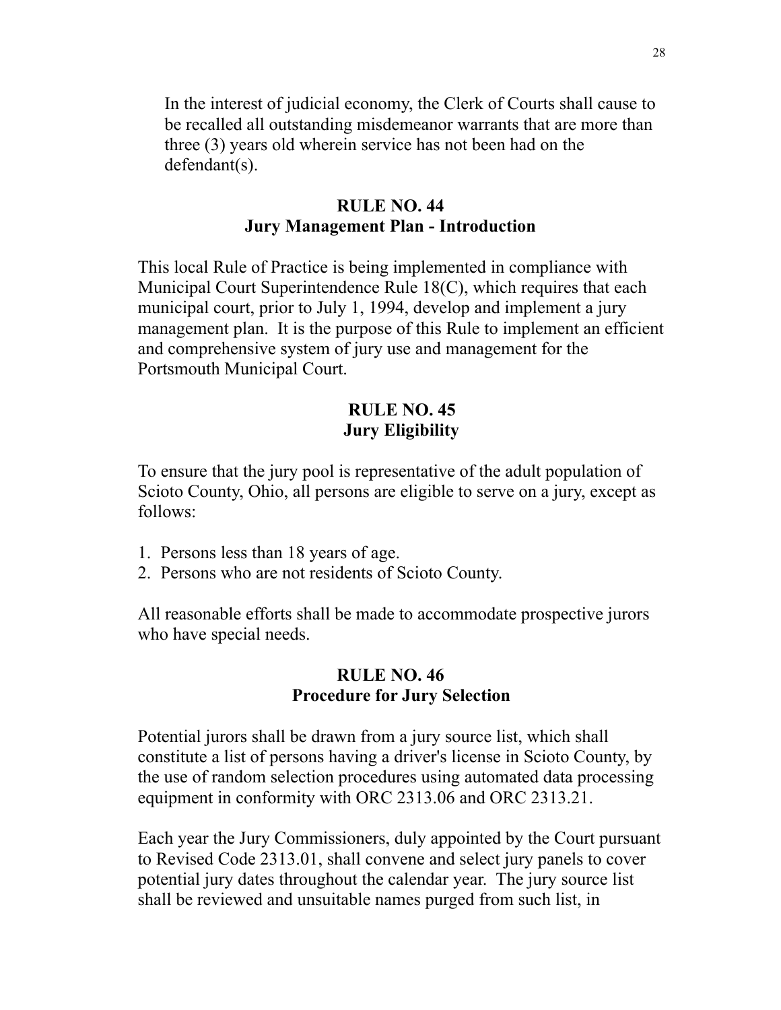In the interest of judicial economy, the Clerk of Courts shall cause to be recalled all outstanding misdemeanor warrants that are more than three (3) years old wherein service has not been had on the defendant(s).

## **RULE NO. 44 Jury Management Plan - Introduction**

This local Rule of Practice is being implemented in compliance with Municipal Court Superintendence Rule 18(C), which requires that each municipal court, prior to July 1, 1994, develop and implement a jury management plan. It is the purpose of this Rule to implement an efficient and comprehensive system of jury use and management for the Portsmouth Municipal Court.

### **RULE NO. 45 Jury Eligibility**

To ensure that the jury pool is representative of the adult population of Scioto County, Ohio, all persons are eligible to serve on a jury, except as follows:

- 1. Persons less than 18 years of age.
- 2. Persons who are not residents of Scioto County.

All reasonable efforts shall be made to accommodate prospective jurors who have special needs.

## **RULE NO. 46 Procedure for Jury Selection**

Potential jurors shall be drawn from a jury source list, which shall constitute a list of persons having a driver's license in Scioto County, by the use of random selection procedures using automated data processing equipment in conformity with ORC 2313.06 and ORC 2313.21.

Each year the Jury Commissioners, duly appointed by the Court pursuant to Revised Code 2313.01, shall convene and select jury panels to cover potential jury dates throughout the calendar year. The jury source list shall be reviewed and unsuitable names purged from such list, in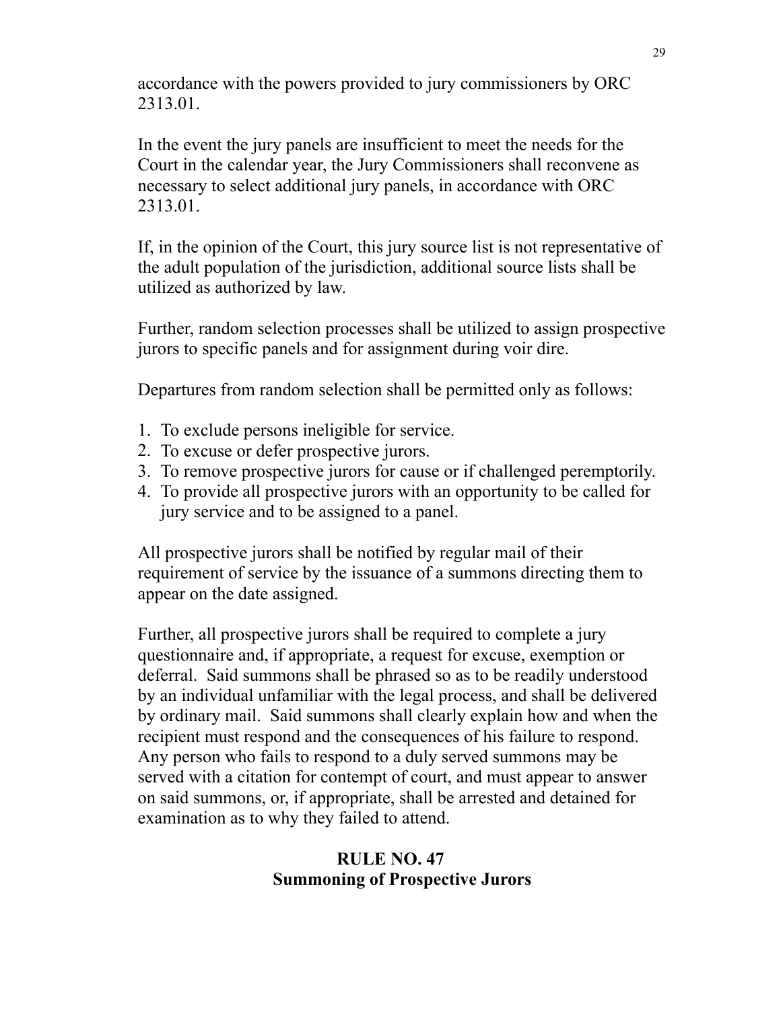accordance with the powers provided to jury commissioners by ORC 2313.01.

In the event the jury panels are insufficient to meet the needs for the Court in the calendar year, the Jury Commissioners shall reconvene as necessary to select additional jury panels, in accordance with ORC 2313.01.

If, in the opinion of the Court, this jury source list is not representative of the adult population of the jurisdiction, additional source lists shall be utilized as authorized by law.

Further, random selection processes shall be utilized to assign prospective jurors to specific panels and for assignment during voir dire.

Departures from random selection shall be permitted only as follows:

- 1. To exclude persons ineligible for service.
- 2. To excuse or defer prospective jurors.
- 3. To remove prospective jurors for cause or if challenged peremptorily.
- 4. To provide all prospective jurors with an opportunity to be called for jury service and to be assigned to a panel.

All prospective jurors shall be notified by regular mail of their requirement of service by the issuance of a summons directing them to appear on the date assigned.

Further, all prospective jurors shall be required to complete a jury questionnaire and, if appropriate, a request for excuse, exemption or deferral. Said summons shall be phrased so as to be readily understood by an individual unfamiliar with the legal process, and shall be delivered by ordinary mail. Said summons shall clearly explain how and when the recipient must respond and the consequences of his failure to respond. Any person who fails to respond to a duly served summons may be served with a citation for contempt of court, and must appear to answer on said summons, or, if appropriate, shall be arrested and detained for examination as to why they failed to attend.

# **RULE NO. 47 Summoning of Prospective Jurors**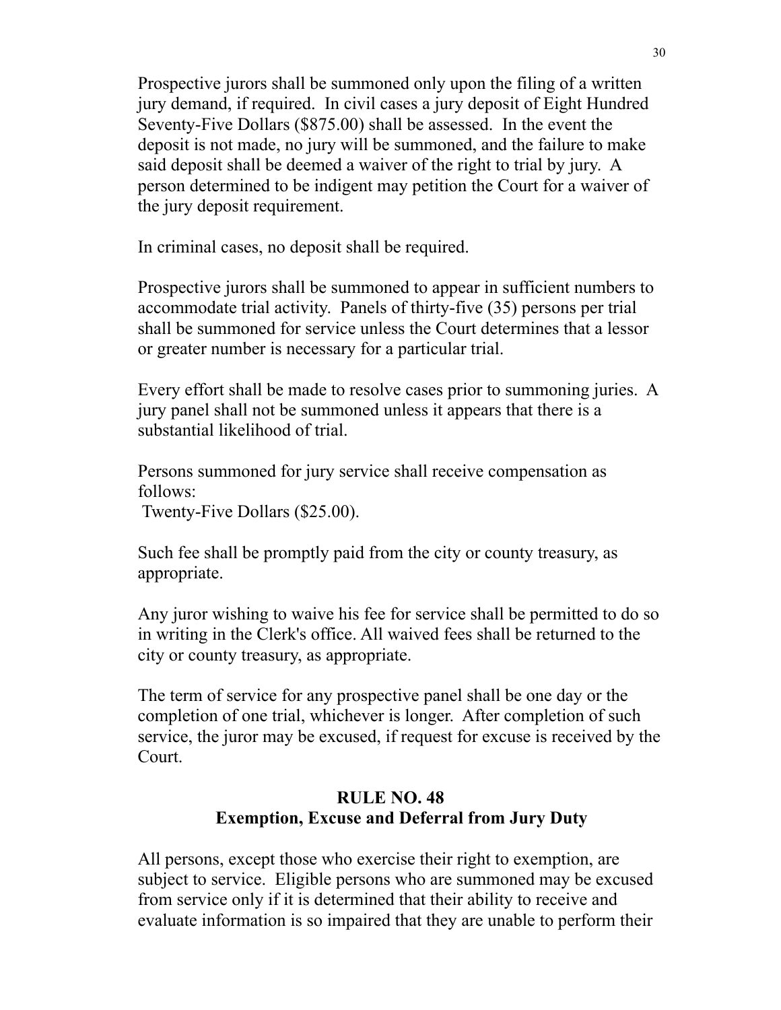Prospective jurors shall be summoned only upon the filing of a written jury demand, if required. In civil cases a jury deposit of Eight Hundred Seventy-Five Dollars (\$875.00) shall be assessed. In the event the deposit is not made, no jury will be summoned, and the failure to make said deposit shall be deemed a waiver of the right to trial by jury. A person determined to be indigent may petition the Court for a waiver of the jury deposit requirement.

In criminal cases, no deposit shall be required.

Prospective jurors shall be summoned to appear in sufficient numbers to accommodate trial activity. Panels of thirty-five (35) persons per trial shall be summoned for service unless the Court determines that a lessor or greater number is necessary for a particular trial.

Every effort shall be made to resolve cases prior to summoning juries. A jury panel shall not be summoned unless it appears that there is a substantial likelihood of trial.

Persons summoned for jury service shall receive compensation as follows:

Twenty-Five Dollars (\$25.00).

Such fee shall be promptly paid from the city or county treasury, as appropriate.

Any juror wishing to waive his fee for service shall be permitted to do so in writing in the Clerk's office. All waived fees shall be returned to the city or county treasury, as appropriate.

The term of service for any prospective panel shall be one day or the completion of one trial, whichever is longer. After completion of such service, the juror may be excused, if request for excuse is received by the Court.

# **RULE NO. 48 Exemption, Excuse and Deferral from Jury Duty**

All persons, except those who exercise their right to exemption, are subject to service. Eligible persons who are summoned may be excused from service only if it is determined that their ability to receive and evaluate information is so impaired that they are unable to perform their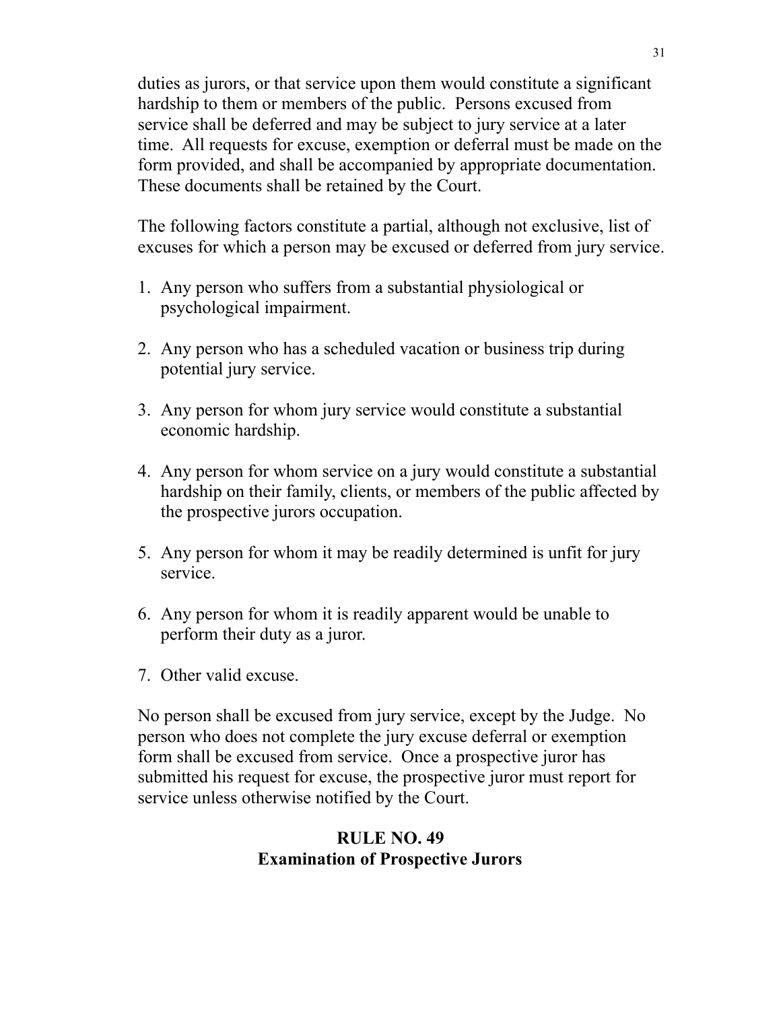duties as jurors, or that service upon them would constitute a significant hardship to them or members of the public. Persons excused from service shall be deferred and may be subject to jury service at a later time. All requests for excuse, exemption or deferral must be made on the form provided, and shall be accompanied by appropriate documentation. These documents shall be retained by the Court.

The following factors constitute a partial, although not exclusive, list of excuses for which a person may be excused or deferred from jury service.

- 1. Any person who suffers from a substantial physiological or psychological impairment.
- 2. Any person who has a scheduled vacation or business trip during potential jury service.
- 3. Any person for whom jury service would constitute a substantial economic hardship.
- 4. Any person for whom service on a jury would constitute a substantial hardship on their family, clients, or members of the public affected by the prospective jurors occupation.
- 5. Any person for whom it may be readily determined is unfit for jury service.
- 6. Any person for whom it is readily apparent would be unable to perform their duty as a juror.
- 7. Other valid excuse.

No person shall be excused from jury service, except by the Judge. No person who does not complete the jury excuse deferral or exemption form shall be excused from service. Once a prospective juror has submitted his request for excuse, the prospective juror must report for service unless otherwise notified by the Court.

# **RULE NO. 49 Examination of Prospective Jurors**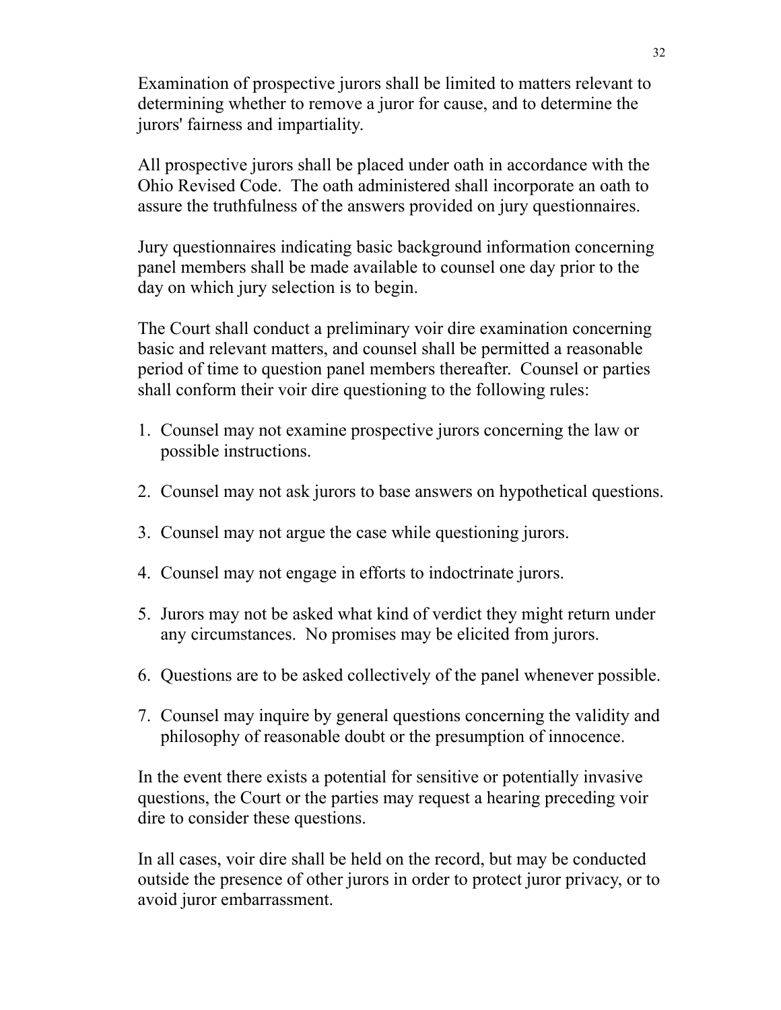Examination of prospective jurors shall be limited to matters relevant to determining whether to remove a juror for cause, and to determine the jurors' fairness and impartiality.

All prospective jurors shall be placed under oath in accordance with the Ohio Revised Code. The oath administered shall incorporate an oath to assure the truthfulness of the answers provided on jury questionnaires.

Jury questionnaires indicating basic background information concerning panel members shall be made available to counsel one day prior to the day on which jury selection is to begin.

The Court shall conduct a preliminary voir dire examination concerning basic and relevant matters, and counsel shall be permitted a reasonable period of time to question panel members thereafter. Counsel or parties shall conform their voir dire questioning to the following rules:

- 1. Counsel may not examine prospective jurors concerning the law or possible instructions.
- 2. Counsel may not ask jurors to base answers on hypothetical questions.
- 3. Counsel may not argue the case while questioning jurors.
- 4. Counsel may not engage in efforts to indoctrinate jurors.
- 5. Jurors may not be asked what kind of verdict they might return under any circumstances. No promises may be elicited from jurors.
- 6. Questions are to be asked collectively of the panel whenever possible.
- 7. Counsel may inquire by general questions concerning the validity and philosophy of reasonable doubt or the presumption of innocence.

In the event there exists a potential for sensitive or potentially invasive questions, the Court or the parties may request a hearing preceding voir dire to consider these questions.

In all cases, voir dire shall be held on the record, but may be conducted outside the presence of other jurors in order to protect juror privacy, or to avoid juror embarrassment.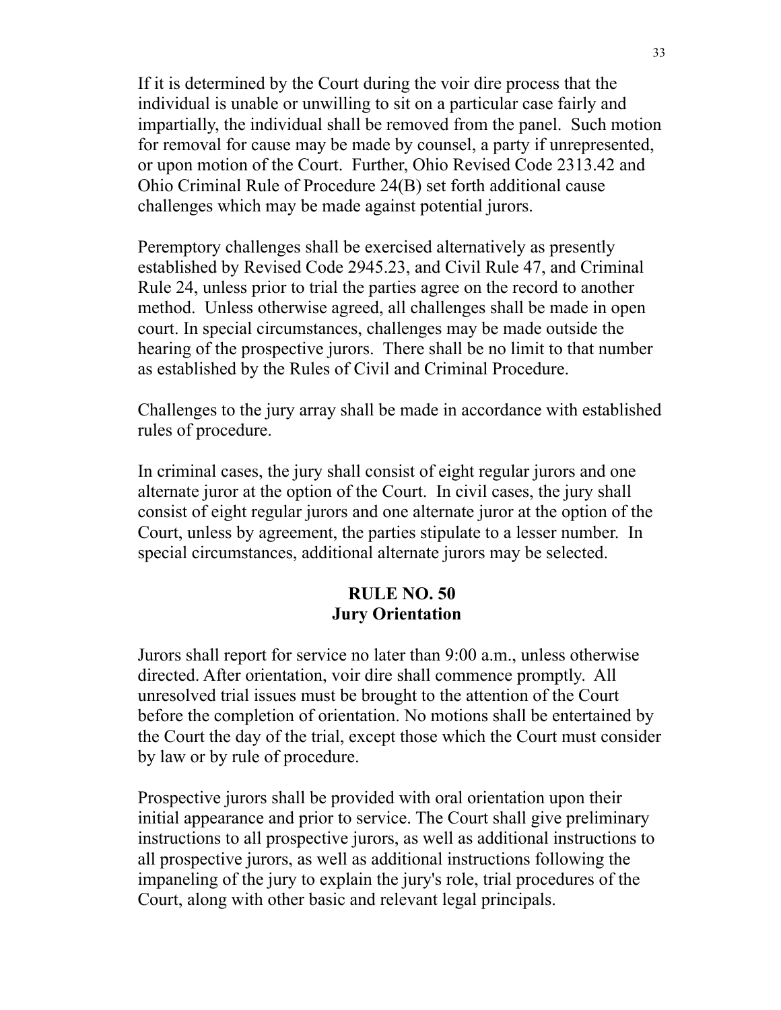If it is determined by the Court during the voir dire process that the individual is unable or unwilling to sit on a particular case fairly and impartially, the individual shall be removed from the panel. Such motion for removal for cause may be made by counsel, a party if unrepresented, or upon motion of the Court. Further, Ohio Revised Code 2313.42 and Ohio Criminal Rule of Procedure 24(B) set forth additional cause challenges which may be made against potential jurors.

Peremptory challenges shall be exercised alternatively as presently established by Revised Code 2945.23, and Civil Rule 47, and Criminal Rule 24, unless prior to trial the parties agree on the record to another method. Unless otherwise agreed, all challenges shall be made in open court. In special circumstances, challenges may be made outside the hearing of the prospective jurors. There shall be no limit to that number as established by the Rules of Civil and Criminal Procedure.

Challenges to the jury array shall be made in accordance with established rules of procedure.

In criminal cases, the jury shall consist of eight regular jurors and one alternate juror at the option of the Court. In civil cases, the jury shall consist of eight regular jurors and one alternate juror at the option of the Court, unless by agreement, the parties stipulate to a lesser number. In special circumstances, additional alternate jurors may be selected.

### **RULE NO. 50 Jury Orientation**

Jurors shall report for service no later than 9:00 a.m., unless otherwise directed. After orientation, voir dire shall commence promptly. All unresolved trial issues must be brought to the attention of the Court before the completion of orientation. No motions shall be entertained by the Court the day of the trial, except those which the Court must consider by law or by rule of procedure.

Prospective jurors shall be provided with oral orientation upon their initial appearance and prior to service. The Court shall give preliminary instructions to all prospective jurors, as well as additional instructions to all prospective jurors, as well as additional instructions following the impaneling of the jury to explain the jury's role, trial procedures of the Court, along with other basic and relevant legal principals.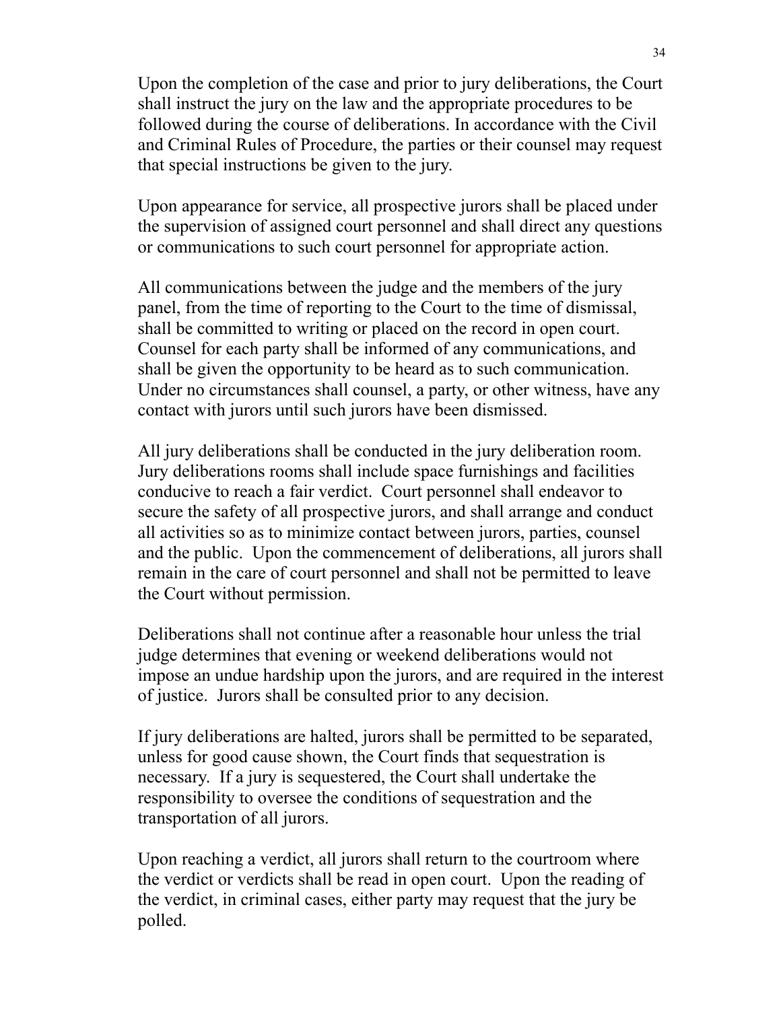Upon the completion of the case and prior to jury deliberations, the Court shall instruct the jury on the law and the appropriate procedures to be followed during the course of deliberations. In accordance with the Civil and Criminal Rules of Procedure, the parties or their counsel may request that special instructions be given to the jury.

Upon appearance for service, all prospective jurors shall be placed under the supervision of assigned court personnel and shall direct any questions or communications to such court personnel for appropriate action.

All communications between the judge and the members of the jury panel, from the time of reporting to the Court to the time of dismissal, shall be committed to writing or placed on the record in open court. Counsel for each party shall be informed of any communications, and shall be given the opportunity to be heard as to such communication. Under no circumstances shall counsel, a party, or other witness, have any contact with jurors until such jurors have been dismissed.

All jury deliberations shall be conducted in the jury deliberation room. Jury deliberations rooms shall include space furnishings and facilities conducive to reach a fair verdict. Court personnel shall endeavor to secure the safety of all prospective jurors, and shall arrange and conduct all activities so as to minimize contact between jurors, parties, counsel and the public. Upon the commencement of deliberations, all jurors shall remain in the care of court personnel and shall not be permitted to leave the Court without permission.

Deliberations shall not continue after a reasonable hour unless the trial judge determines that evening or weekend deliberations would not impose an undue hardship upon the jurors, and are required in the interest of justice. Jurors shall be consulted prior to any decision.

If jury deliberations are halted, jurors shall be permitted to be separated, unless for good cause shown, the Court finds that sequestration is necessary. If a jury is sequestered, the Court shall undertake the responsibility to oversee the conditions of sequestration and the transportation of all jurors.

Upon reaching a verdict, all jurors shall return to the courtroom where the verdict or verdicts shall be read in open court. Upon the reading of the verdict, in criminal cases, either party may request that the jury be polled.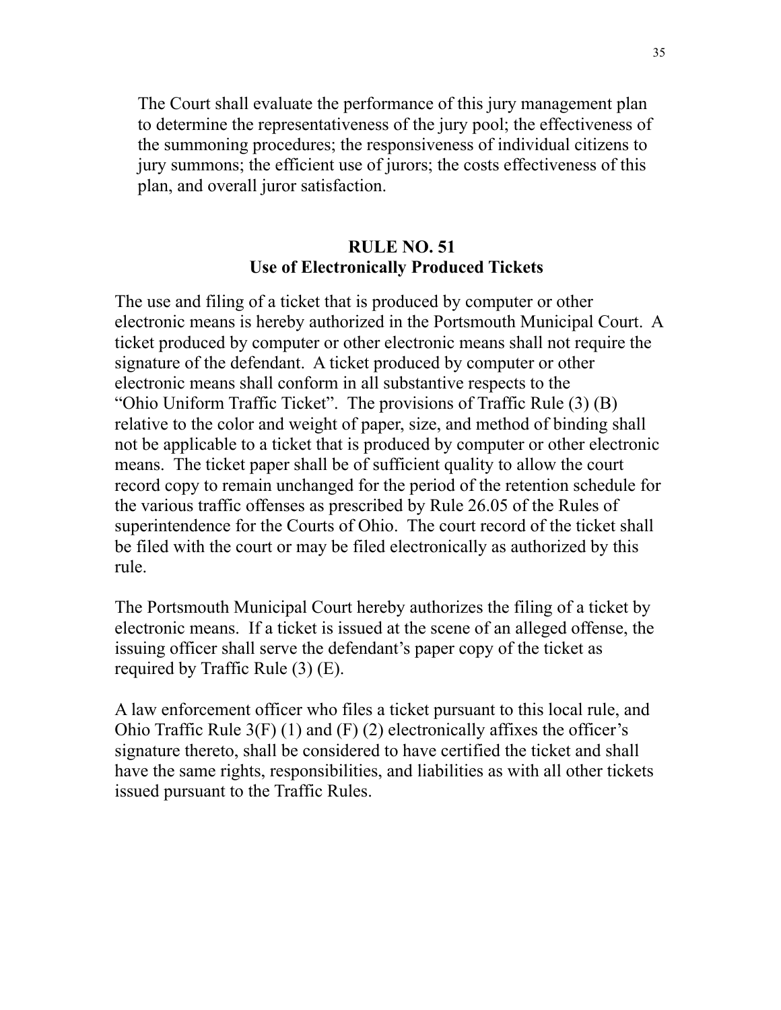The Court shall evaluate the performance of this jury management plan to determine the representativeness of the jury pool; the effectiveness of the summoning procedures; the responsiveness of individual citizens to jury summons; the efficient use of jurors; the costs effectiveness of this plan, and overall juror satisfaction.

## **RULE NO. 51 Use of Electronically Produced Tickets**

The use and filing of a ticket that is produced by computer or other electronic means is hereby authorized in the Portsmouth Municipal Court. A ticket produced by computer or other electronic means shall not require the signature of the defendant. A ticket produced by computer or other electronic means shall conform in all substantive respects to the "Ohio Uniform Traffic Ticket". The provisions of Traffic Rule (3) (B) relative to the color and weight of paper, size, and method of binding shall not be applicable to a ticket that is produced by computer or other electronic means. The ticket paper shall be of sufficient quality to allow the court record copy to remain unchanged for the period of the retention schedule for the various traffic offenses as prescribed by Rule 26.05 of the Rules of superintendence for the Courts of Ohio. The court record of the ticket shall be filed with the court or may be filed electronically as authorized by this rule.

The Portsmouth Municipal Court hereby authorizes the filing of a ticket by electronic means. If a ticket is issued at the scene of an alleged offense, the issuing officer shall serve the defendant's paper copy of the ticket as required by Traffic Rule (3) (E).

A law enforcement officer who files a ticket pursuant to this local rule, and Ohio Traffic Rule  $3(F)$  (1) and  $(F)$  (2) electronically affixes the officer's signature thereto, shall be considered to have certified the ticket and shall have the same rights, responsibilities, and liabilities as with all other tickets issued pursuant to the Traffic Rules.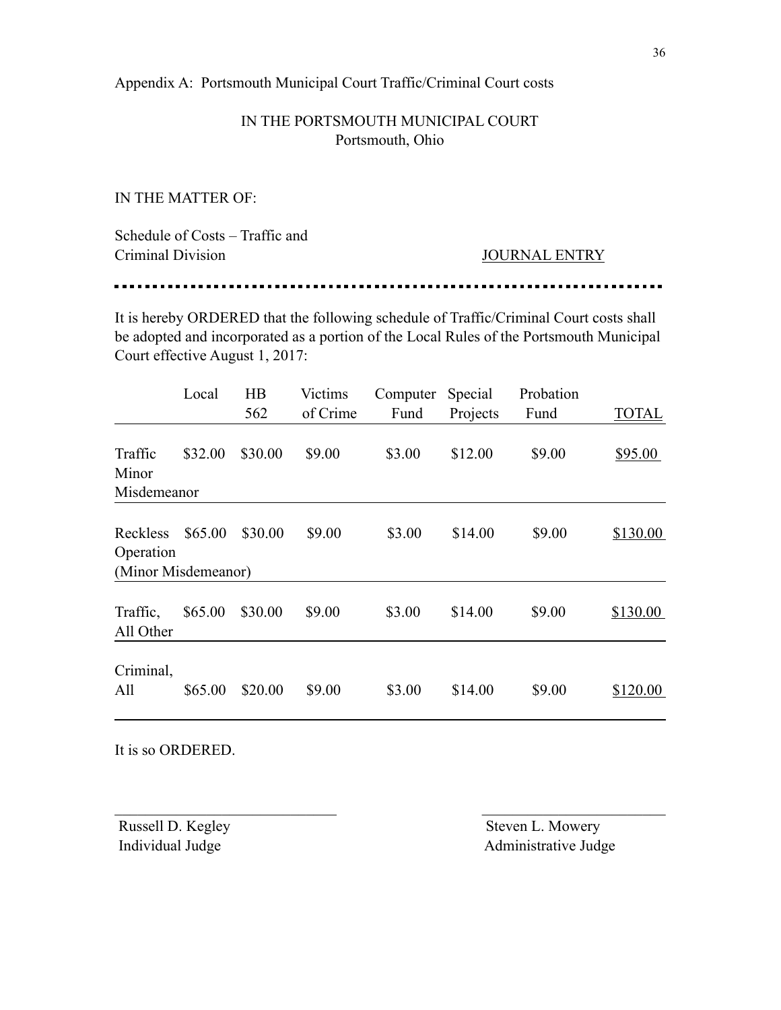Appendix A: Portsmouth Municipal Court Traffic/Criminal Court costs

### IN THE PORTSMOUTH MUNICIPAL COURT Portsmouth, Ohio

IN THE MATTER OF:

. . . . . .

| Schedule of Costs – Traffic and |                      |
|---------------------------------|----------------------|
| Criminal Division               | <b>JOURNAL ENTRY</b> |

It is hereby ORDERED that the following schedule of Traffic/Criminal Court costs shall be adopted and incorporated as a portion of the Local Rules of the Portsmouth Municipal Court effective August 1, 2017:

|                                 | Local   | $\overline{AB}$<br>562 | Victims<br>of Crime | Computer<br>Fund | Special<br>Projects | Probation<br>Fund | <b>TOTAL</b> |
|---------------------------------|---------|------------------------|---------------------|------------------|---------------------|-------------------|--------------|
| Traffic<br>Minor<br>Misdemeanor | \$32.00 | \$30.00                | \$9.00              | \$3.00           | \$12.00             | \$9.00            | \$95.00      |
| Reckless<br>Operation           | \$65.00 | \$30.00                | \$9.00              | \$3.00           | \$14.00             | \$9.00            | \$130.00     |
| (Minor Misdemeanor)             |         |                        |                     |                  |                     |                   |              |
| Traffic,<br>All Other           | \$65.00 | \$30.00                | \$9.00              | \$3.00           | \$14.00             | \$9.00            | \$130.00     |
| Criminal,<br>All                | \$65.00 | \$20.00                | \$9.00              | \$3.00           | \$14.00             | \$9.00            | \$120.00     |

 $\mathcal{L}_\text{max}$  and the contract of the contract of the contract of the contract of the contract of the contract of

It is so ORDERED.

Russell D. Kegley Steven L. Mowery Individual Judge Administrative Judge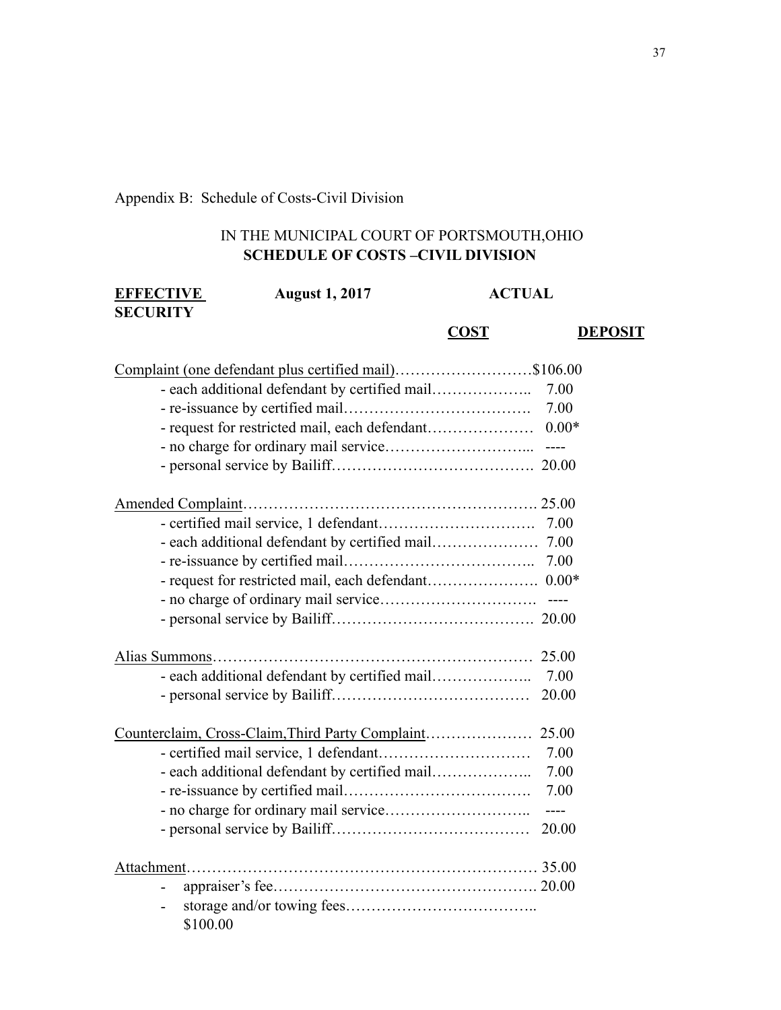## Appendix B: Schedule of Costs-Civil Division

### IN THE MUNICIPAL COURT OF PORTSMOUTH,OHIO **SCHEDULE OF COSTS –CIVIL DIVISION**

| <b>EFFECTIVE</b><br><b>SECURITY</b> | <b>August 1, 2017</b>                                 | <b>ACTUAL</b> |                |  |
|-------------------------------------|-------------------------------------------------------|---------------|----------------|--|
|                                     |                                                       | <b>COST</b>   | <b>DEPOSIT</b> |  |
|                                     | Complaint (one defendant plus certified mail)\$106.00 |               |                |  |
|                                     | - each additional defendant by certified mail         |               | 7.00           |  |
|                                     |                                                       |               | 7.00           |  |
|                                     |                                                       |               | $0.00*$        |  |
|                                     |                                                       |               |                |  |
|                                     |                                                       |               |                |  |
|                                     |                                                       |               |                |  |
|                                     |                                                       |               |                |  |
|                                     |                                                       |               |                |  |
|                                     |                                                       |               |                |  |
|                                     |                                                       |               |                |  |
|                                     |                                                       |               |                |  |
|                                     |                                                       |               |                |  |
|                                     |                                                       |               | 25.00          |  |
|                                     |                                                       |               | 7.00           |  |
|                                     |                                                       |               | 20.00          |  |
|                                     |                                                       |               |                |  |
|                                     |                                                       |               | 7.00           |  |
|                                     | - each additional defendant by certified mail         |               | 7.00           |  |
|                                     |                                                       |               | 7.00           |  |
|                                     |                                                       |               | $---$          |  |
|                                     |                                                       |               | 20.00          |  |
|                                     |                                                       |               |                |  |
|                                     |                                                       |               |                |  |
|                                     | \$100.00                                              |               |                |  |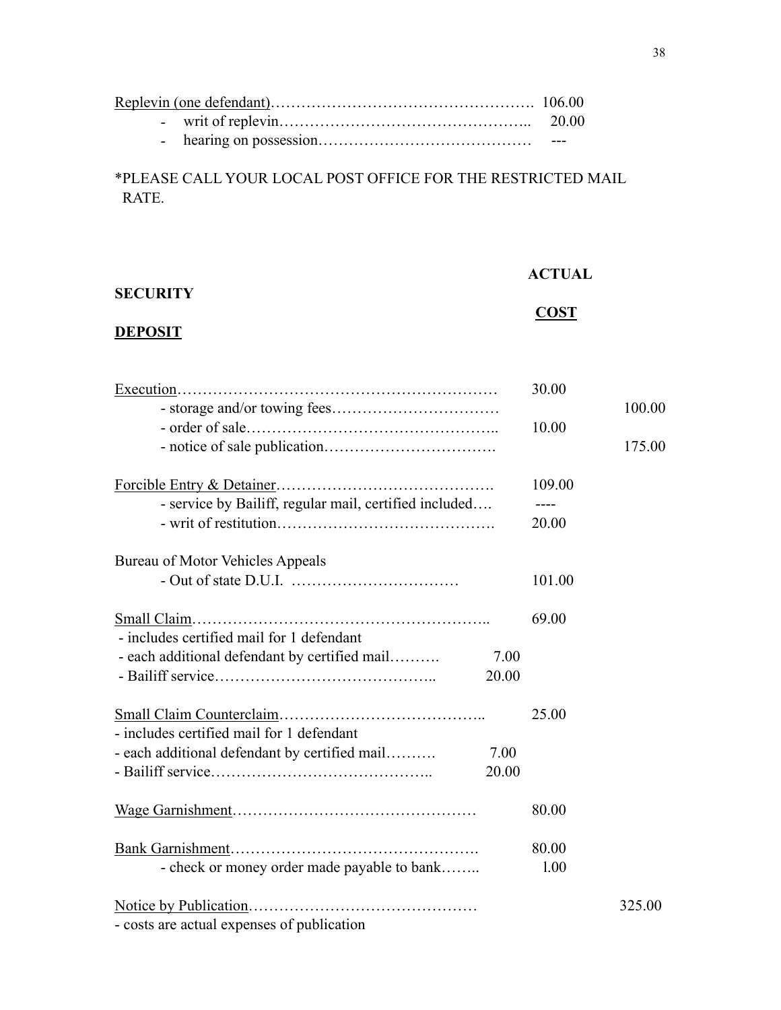## \*PLEASE CALL YOUR LOCAL POST OFFICE FOR THE RESTRICTED MAIL RATE.

|                 | <b>ACTUAL</b> |
|-----------------|---------------|
| <b>SECURITY</b> | <b>COST</b>   |

## **DEPOSIT**

|                                                        |       | 30.00           |        |
|--------------------------------------------------------|-------|-----------------|--------|
|                                                        |       | 10.00           | 100.00 |
|                                                        |       |                 | 175.00 |
| - service by Bailiff, regular mail, certified included |       | 109.00<br>20.00 |        |
|                                                        |       |                 |        |
| Bureau of Motor Vehicles Appeals                       |       |                 |        |
|                                                        |       | 101.00          |        |
|                                                        |       | 69.00           |        |
| - includes certified mail for 1 defendant              |       |                 |        |
| - each additional defendant by certified mail          | 7.00  |                 |        |
|                                                        | 20.00 |                 |        |
|                                                        |       |                 |        |
|                                                        |       | 25.00           |        |
| - includes certified mail for 1 defendant              |       |                 |        |
| - each additional defendant by certified mail          | 7.00  |                 |        |
|                                                        | 20.00 |                 |        |
|                                                        |       | 80.00           |        |
|                                                        |       | 80.00           |        |
| - check or money order made payable to bank            |       | 1.00            |        |
|                                                        |       |                 |        |
|                                                        |       |                 | 325.00 |
| - costs are actual expenses of publication             |       |                 |        |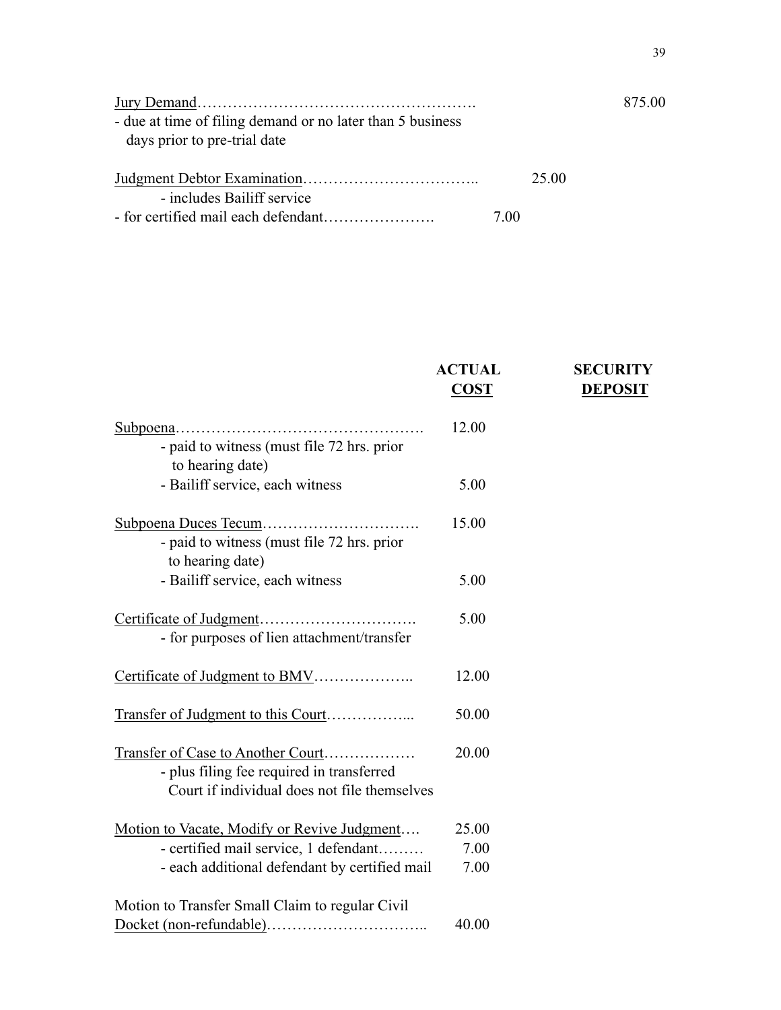|                                                            |      |       | 875.00 |
|------------------------------------------------------------|------|-------|--------|
| - due at time of filing demand or no later than 5 business |      |       |        |
| days prior to pre-trial date                               |      |       |        |
|                                                            |      | 25.00 |        |
| - includes Bailiff service                                 |      |       |        |
|                                                            | 7.00 |       |        |

|                                                                                                                                | <b>ACTUAL</b> | <b>SECURITY</b> |
|--------------------------------------------------------------------------------------------------------------------------------|---------------|-----------------|
|                                                                                                                                | <b>COST</b>   | <b>DEPOSIT</b>  |
| - paid to witness (must file 72 hrs. prior                                                                                     | 12.00         |                 |
| to hearing date)                                                                                                               |               |                 |
| - Bailiff service, each witness                                                                                                | 5.00          |                 |
| - paid to witness (must file 72 hrs. prior<br>to hearing date)                                                                 | 15.00         |                 |
| - Bailiff service, each witness                                                                                                | 5.00          |                 |
| - for purposes of lien attachment/transfer                                                                                     | 5.00          |                 |
|                                                                                                                                |               |                 |
| Certificate of Judgment to BMV                                                                                                 | 12.00         |                 |
| Transfer of Judgment to this Court                                                                                             | 50.00         |                 |
| Transfer of Case to Another Court<br>- plus filing fee required in transferred<br>Court if individual does not file themselves | 20.00         |                 |
| Motion to Vacate, Modify or Revive Judgment                                                                                    | 25.00         |                 |
| - certified mail service, 1 defendant                                                                                          | 7.00          |                 |
| - each additional defendant by certified mail                                                                                  | 7.00          |                 |
| Motion to Transfer Small Claim to regular Civil                                                                                |               |                 |
|                                                                                                                                | 40.00         |                 |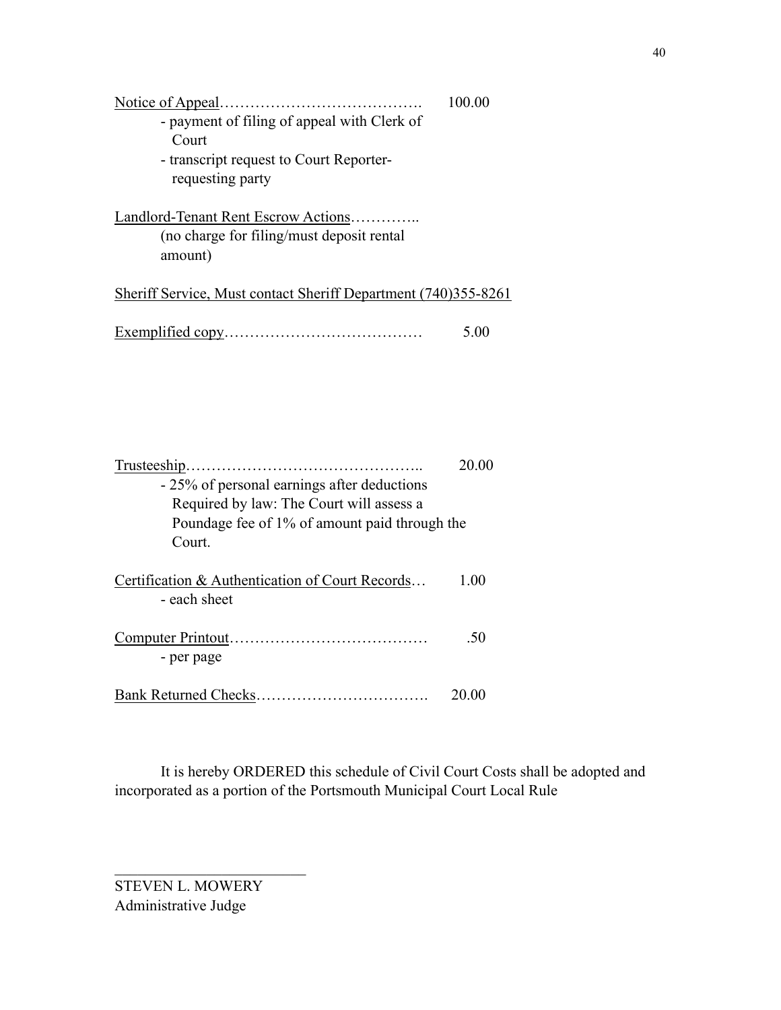| - payment of filing of appeal with Clerk of<br>Court<br>- transcript request to Court Reporter-<br>requesting party | 100.00 |
|---------------------------------------------------------------------------------------------------------------------|--------|
| Landlord-Tenant Rent Escrow Actions<br>(no charge for filing/must deposit rental)<br>amount)                        |        |
| Sheriff Service, Must contact Sheriff Department (740)355-8261                                                      |        |
|                                                                                                                     | 5 ()() |

|                                                 | 20.00 |
|-------------------------------------------------|-------|
| - 25% of personal earnings after deductions     |       |
| Required by law: The Court will assess a        |       |
| Poundage fee of 1% of amount paid through the   |       |
| Court                                           |       |
| Certification & Authentication of Court Records | 1.00  |
| - each sheet                                    |       |
|                                                 | -50   |
| - per page                                      |       |
|                                                 | 20 00 |

 It is hereby ORDERED this schedule of Civil Court Costs shall be adopted and incorporated as a portion of the Portsmouth Municipal Court Local Rule

STEVEN L. MOWERY Administrative Judge

 $\mathcal{L}_\text{max}$  , where  $\mathcal{L}_\text{max}$  , we have the set of  $\mathcal{L}_\text{max}$